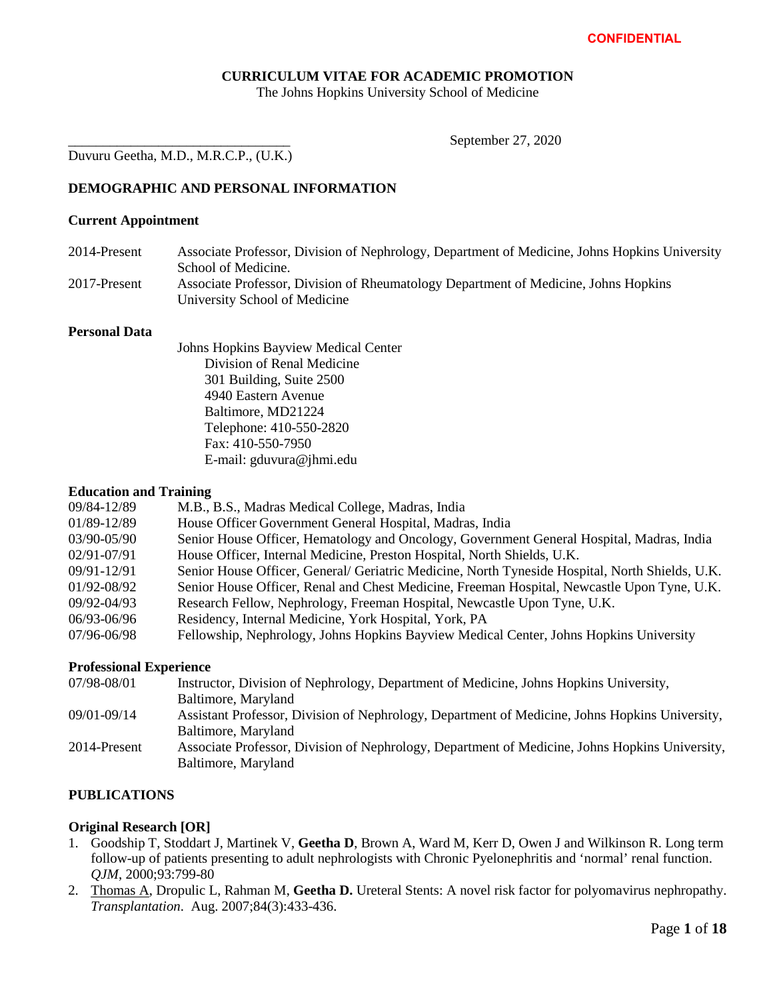### **CURRICULUM VITAE FOR ACADEMIC PROMOTION**

The Johns Hopkins University School of Medicine

\_\_\_\_\_\_\_\_\_\_\_\_\_\_\_\_\_\_\_\_\_\_\_\_\_\_\_\_\_\_\_\_ September 27, 2020

Duvuru Geetha, M.D., M.R.C.P., (U.K.)

### **DEMOGRAPHIC AND PERSONAL INFORMATION**

#### **Current Appointment**

2014-Present Associate Professor, Division of Nephrology, Department of Medicine, Johns Hopkins University School of Medicine. 2017-Present Associate Professor, Division of Rheumatology Department of Medicine, Johns Hopkins University School of Medicine

### **Personal Data**

Johns Hopkins Bayview Medical Center Division of Renal Medicine 301 Building, Suite 2500 4940 Eastern Avenue Baltimore, MD21224 Telephone: 410-550-2820 Fax: 410-550-7950 E-mail: gduvura@jhmi.edu

### **Education and Training**

| 09/84-12/89     | M.B., B.S., Madras Medical College, Madras, India                                               |
|-----------------|-------------------------------------------------------------------------------------------------|
| 01/89-12/89     | House Officer Government General Hospital, Madras, India                                        |
| 03/90-05/90     | Senior House Officer, Hematology and Oncology, Government General Hospital, Madras, India       |
| 02/91-07/91     | House Officer, Internal Medicine, Preston Hospital, North Shields, U.K.                         |
| $09/91 - 12/91$ | Senior House Officer, General/ Geriatric Medicine, North Tyneside Hospital, North Shields, U.K. |
| 01/92-08/92     | Senior House Officer, Renal and Chest Medicine, Freeman Hospital, Newcastle Upon Tyne, U.K.     |
| 09/92-04/93     | Research Fellow, Nephrology, Freeman Hospital, Newcastle Upon Tyne, U.K.                        |
| 06/93-06/96     | Residency, Internal Medicine, York Hospital, York, PA                                           |
| 07/96-06/98     | Fellowship, Nephrology, Johns Hopkins Bayview Medical Center, Johns Hopkins University          |

#### **Professional Experience**

| 07/98-08/01  | Instructor, Division of Nephrology, Department of Medicine, Johns Hopkins University,          |
|--------------|------------------------------------------------------------------------------------------------|
|              | Baltimore, Maryland                                                                            |
| 09/01-09/14  | Assistant Professor, Division of Nephrology, Department of Medicine, Johns Hopkins University, |
|              | Baltimore, Maryland                                                                            |
| 2014-Present | Associate Professor, Division of Nephrology, Department of Medicine, Johns Hopkins University, |
|              | Baltimore, Maryland                                                                            |

### **PUBLICATIONS**

#### **Original Research [OR]**

- 1. Goodship T, Stoddart J, Martinek V, **Geetha D**, Brown A, Ward M, Kerr D, Owen J and Wilkinson R. Long term follow-up of patients presenting to adult nephrologists with Chronic Pyelonephritis and 'normal' renal function. *QJM*, 2000;93:799-80
- 2. Thomas A, Dropulic L, Rahman M, **Geetha D.** Ureteral Stents: A novel risk factor for polyomavirus nephropathy. *Transplantation*. Aug. 2007;84(3):433-436.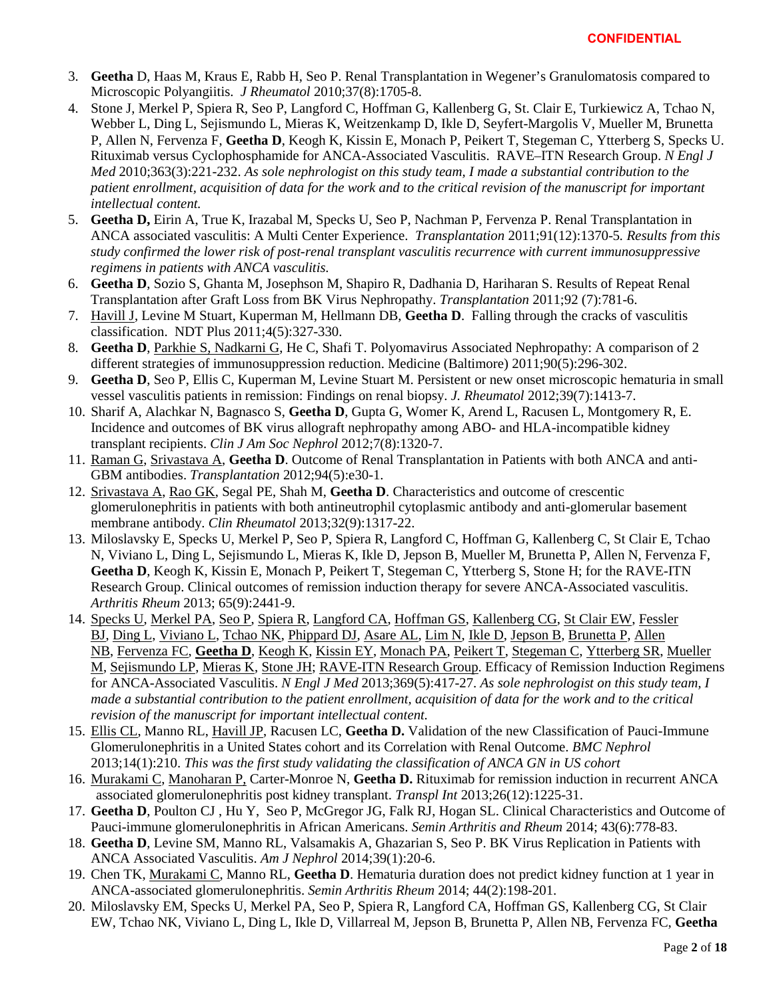- 3. **Geetha** D, Haas M, Kraus E, Rabb H, Seo P. Renal Transplantation in Wegener's Granulomatosis compared to Microscopic Polyangiitis. *J Rheumatol* 2010;37(8):1705-8.
- 4. Stone J, Merkel P, Spiera R, Seo P, Langford C, Hoffman G, Kallenberg G, St. Clair E, Turkiewicz A, Tchao N, Webber L, Ding L, Sejismundo L, Mieras K, Weitzenkamp D, Ikle D, Seyfert-Margolis V, Mueller M, Brunetta P, Allen N, Fervenza F, **Geetha D**, Keogh K, Kissin E, Monach P, Peikert T, Stegeman C, Ytterberg S, Specks U. Rituximab versus Cyclophosphamide for ANCA-Associated Vasculitis. RAVE–ITN Research Group. *N Engl J Med* 2010;363(3):221-232. *As sole nephrologist on this study team, I made a substantial contribution to the patient enrollment, acquisition of data for the work and to the critical revision of the manuscript for important intellectual content.*
- 5. **Geetha D,** Eirin A, True K, Irazabal M, Specks U, Seo P, Nachman P, Fervenza P. Renal Transplantation in ANCA associated vasculitis: A Multi Center Experience. *Transplantation* 2011;91(12):1370-5*. Results from this study confirmed the lower risk of post-renal transplant vasculitis recurrence with current immunosuppressive regimens in patients with ANCA vasculitis.*
- 6. **Geetha D**, Sozio S, Ghanta M, Josephson M, Shapiro R, Dadhania D, Hariharan S. Results of Repeat Renal Transplantation after Graft Loss from BK Virus Nephropathy. *Transplantation* 2011;92 (7):781-6.
- 7. Havill J, Levine M Stuart, Kuperman M, Hellmann DB, **Geetha D**. Falling through the cracks of vasculitis classification. NDT Plus 2011;4(5):327-330.
- 8. **Geetha D**, Parkhie S, Nadkarni G, He C, Shafi T. Polyomavirus Associated Nephropathy: A comparison of 2 different strategies of immunosuppression reduction. Medicine (Baltimore) 2011;90(5):296-302.
- 9. **Geetha D**, Seo P, Ellis C, Kuperman M, Levine Stuart M. Persistent or new onset microscopic hematuria in small vessel vasculitis patients in remission: Findings on renal biopsy. *J. Rheumatol* 2012;39(7):1413-7.
- 10. [Sharif A,](http://www.ncbi.nlm.nih.gov/pubmed?term=Sharif%20A%5BAuthor%5D&cauthor=true&cauthor_uid=22626962) [Alachkar N,](http://www.ncbi.nlm.nih.gov/pubmed?term=Alachkar%20N%5BAuthor%5D&cauthor=true&cauthor_uid=22626962) [Bagnasco S,](http://www.ncbi.nlm.nih.gov/pubmed?term=Bagnasco%20S%5BAuthor%5D&cauthor=true&cauthor_uid=22626962) **[Geetha D](http://www.ncbi.nlm.nih.gov/pubmed?term=Geetha%20D%5BAuthor%5D&cauthor=true&cauthor_uid=22626962)**, [Gupta G,](http://www.ncbi.nlm.nih.gov/pubmed?term=Gupta%20G%5BAuthor%5D&cauthor=true&cauthor_uid=22626962) [Womer K,](http://www.ncbi.nlm.nih.gov/pubmed?term=Womer%20K%5BAuthor%5D&cauthor=true&cauthor_uid=22626962) [Arend L,](http://www.ncbi.nlm.nih.gov/pubmed?term=Arend%20L%5BAuthor%5D&cauthor=true&cauthor_uid=22626962) [Racusen L,](http://www.ncbi.nlm.nih.gov/pubmed?term=Racusen%20L%5BAuthor%5D&cauthor=true&cauthor_uid=22626962) [Montgomery R,](http://www.ncbi.nlm.nih.gov/pubmed?term=Montgomery%20R%5BAuthor%5D&cauthor=true&cauthor_uid=22626962) E. Incidence and outcomes of BK virus allograft nephropathy among ABO- and HLA-incompatible kidney transplant recipients. *Clin J Am Soc Nephrol* 2012;7(8):1320-7.
- 11. Raman G, Srivastava A, **Geetha D**. Outcome of Renal Transplantation in Patients with both ANCA and anti-GBM antibodies. *Transplantation* 2012;94(5):e30-1.
- 12. [Srivastava A,](http://www.ncbi.nlm.nih.gov/pubmed?term=Srivastava%20A%5BAuthor%5D&cauthor=true&cauthor_uid=23624587) [Rao GK,](http://www.ncbi.nlm.nih.gov/pubmed?term=Rao%20GK%5BAuthor%5D&cauthor=true&cauthor_uid=23624587) [Segal PE,](http://www.ncbi.nlm.nih.gov/pubmed?term=Segal%20PE%5BAuthor%5D&cauthor=true&cauthor_uid=23624587) [Shah M,](http://www.ncbi.nlm.nih.gov/pubmed?term=Shah%20M%5BAuthor%5D&cauthor=true&cauthor_uid=23624587) **[Geetha D](http://www.ncbi.nlm.nih.gov/pubmed?term=Geetha%20D%5BAuthor%5D&cauthor=true&cauthor_uid=23624587)**. Characteristics and outcome of crescentic glomerulonephritis in patients with both antineutrophil cytoplasmic antibody and anti-glomerular basement membrane antibody. *[Clin Rheumatol](http://www.ncbi.nlm.nih.gov/pubmed/23624587)* 2013;32(9):1317-22.
- 13. Miloslavsky E, Specks U, Merkel P, Seo P, Spiera R, Langford C, Hoffman G, Kallenberg C, St Clair E, Tchao N, Viviano L, Ding L, Sejismundo L, Mieras K, Ikle D, Jepson B, Mueller M, Brunetta P, Allen N, Fervenza F, **Geetha D**, Keogh K, Kissin E, Monach P, Peikert T, Stegeman C, Ytterberg S, Stone H; for the RAVE-ITN Research Group. Clinical outcomes of remission induction therapy for severe ANCA-Associated vasculitis. *Arthritis Rheum* 2013; 65(9):2441-9.
- 14. [Specks U,](https://www.ncbi.nlm.nih.gov/pubmed/?term=Specks%20U%5BAuthor%5D&cauthor=true&cauthor_uid=23902481) [Merkel PA,](https://www.ncbi.nlm.nih.gov/pubmed/?term=Merkel%20PA%5BAuthor%5D&cauthor=true&cauthor_uid=23902481) [Seo P,](https://www.ncbi.nlm.nih.gov/pubmed/?term=Seo%20P%5BAuthor%5D&cauthor=true&cauthor_uid=23902481) [Spiera R,](https://www.ncbi.nlm.nih.gov/pubmed/?term=Spiera%20R%5BAuthor%5D&cauthor=true&cauthor_uid=23902481) [Langford CA,](https://www.ncbi.nlm.nih.gov/pubmed/?term=Langford%20CA%5BAuthor%5D&cauthor=true&cauthor_uid=23902481) [Hoffman GS,](https://www.ncbi.nlm.nih.gov/pubmed/?term=Hoffman%20GS%5BAuthor%5D&cauthor=true&cauthor_uid=23902481) [Kallenberg CG,](https://www.ncbi.nlm.nih.gov/pubmed/?term=Kallenberg%20CG%5BAuthor%5D&cauthor=true&cauthor_uid=23902481) [St Clair EW,](https://www.ncbi.nlm.nih.gov/pubmed/?term=St%20Clair%20EW%5BAuthor%5D&cauthor=true&cauthor_uid=23902481) [Fessler](https://www.ncbi.nlm.nih.gov/pubmed/?term=Fessler%20BJ%5BAuthor%5D&cauthor=true&cauthor_uid=23902481)  [BJ,](https://www.ncbi.nlm.nih.gov/pubmed/?term=Fessler%20BJ%5BAuthor%5D&cauthor=true&cauthor_uid=23902481) [Ding L,](https://www.ncbi.nlm.nih.gov/pubmed/?term=Ding%20L%5BAuthor%5D&cauthor=true&cauthor_uid=23902481) [Viviano L,](https://www.ncbi.nlm.nih.gov/pubmed/?term=Viviano%20L%5BAuthor%5D&cauthor=true&cauthor_uid=23902481) [Tchao NK,](https://www.ncbi.nlm.nih.gov/pubmed/?term=Tchao%20NK%5BAuthor%5D&cauthor=true&cauthor_uid=23902481) [Phippard DJ,](https://www.ncbi.nlm.nih.gov/pubmed/?term=Phippard%20DJ%5BAuthor%5D&cauthor=true&cauthor_uid=23902481) [Asare AL,](https://www.ncbi.nlm.nih.gov/pubmed/?term=Asare%20AL%5BAuthor%5D&cauthor=true&cauthor_uid=23902481) [Lim N,](https://www.ncbi.nlm.nih.gov/pubmed/?term=Lim%20N%5BAuthor%5D&cauthor=true&cauthor_uid=23902481) [Ikle D,](https://www.ncbi.nlm.nih.gov/pubmed/?term=Ikle%20D%5BAuthor%5D&cauthor=true&cauthor_uid=23902481) [Jepson B,](https://www.ncbi.nlm.nih.gov/pubmed/?term=Jepson%20B%5BAuthor%5D&cauthor=true&cauthor_uid=23902481) [Brunetta P,](https://www.ncbi.nlm.nih.gov/pubmed/?term=Brunetta%20P%5BAuthor%5D&cauthor=true&cauthor_uid=23902481) [Allen](https://www.ncbi.nlm.nih.gov/pubmed/?term=Allen%20NB%5BAuthor%5D&cauthor=true&cauthor_uid=23902481)  [NB,](https://www.ncbi.nlm.nih.gov/pubmed/?term=Allen%20NB%5BAuthor%5D&cauthor=true&cauthor_uid=23902481) [Fervenza FC,](https://www.ncbi.nlm.nih.gov/pubmed/?term=Fervenza%20FC%5BAuthor%5D&cauthor=true&cauthor_uid=23902481) **[Geetha D](https://www.ncbi.nlm.nih.gov/pubmed/?term=Geetha%20D%5BAuthor%5D&cauthor=true&cauthor_uid=23902481)**, [Keogh K,](https://www.ncbi.nlm.nih.gov/pubmed/?term=Keogh%20K%5BAuthor%5D&cauthor=true&cauthor_uid=23902481) [Kissin EY,](https://www.ncbi.nlm.nih.gov/pubmed/?term=Kissin%20EY%5BAuthor%5D&cauthor=true&cauthor_uid=23902481) [Monach PA,](https://www.ncbi.nlm.nih.gov/pubmed/?term=Monach%20PA%5BAuthor%5D&cauthor=true&cauthor_uid=23902481) [Peikert T,](https://www.ncbi.nlm.nih.gov/pubmed/?term=Peikert%20T%5BAuthor%5D&cauthor=true&cauthor_uid=23902481) [Stegeman C,](https://www.ncbi.nlm.nih.gov/pubmed/?term=Stegeman%20C%5BAuthor%5D&cauthor=true&cauthor_uid=23902481) [Ytterberg SR,](https://www.ncbi.nlm.nih.gov/pubmed/?term=Ytterberg%20SR%5BAuthor%5D&cauthor=true&cauthor_uid=23902481) [Mueller](https://www.ncbi.nlm.nih.gov/pubmed/?term=Mueller%20M%5BAuthor%5D&cauthor=true&cauthor_uid=23902481)  [M,](https://www.ncbi.nlm.nih.gov/pubmed/?term=Mueller%20M%5BAuthor%5D&cauthor=true&cauthor_uid=23902481) [Sejismundo LP,](https://www.ncbi.nlm.nih.gov/pubmed/?term=Sejismundo%20LP%5BAuthor%5D&cauthor=true&cauthor_uid=23902481) [Mieras K,](https://www.ncbi.nlm.nih.gov/pubmed/?term=Mieras%20K%5BAuthor%5D&cauthor=true&cauthor_uid=23902481) [Stone JH;](https://www.ncbi.nlm.nih.gov/pubmed/?term=Stone%20JH%5BAuthor%5D&cauthor=true&cauthor_uid=23902481) [RAVE-ITN Research Group.](https://www.ncbi.nlm.nih.gov/pubmed/?term=RAVE-ITN%20Research%20Group%5BCorporate%20Author%5D) Efficacy of Remission Induction Regimens for ANCA-Associated Vasculitis. *N Engl J Med* 2013;369(5):417-27. *As sole nephrologist on this study team, I made a substantial contribution to the patient enrollment, acquisition of data for the work and to the critical revision of the manuscript for important intellectual content.*
- 15. Ellis CL, Manno RL, Havill JP, Racusen LC, **Geetha D.** Validation of the new Classification of Pauci-Immune Glomerulonephritis in a United States cohort and its Correlation with Renal Outcome. *BMC Nephrol* 2013;14(1):210. *This was the first study validating the classification of ANCA GN in US cohort*
- 16. Murakami C, Manoharan P, Carter-Monroe N, **Geetha D.** Rituximab for remission induction in recurrent ANCA associated glomerulonephritis post kidney transplant. *Transpl Int* 2013;26(12):1225-31.
- 17. **Geetha D**, Poulton CJ , Hu Y, Seo P, McGregor JG, Falk RJ, Hogan SL. Clinical Characteristics and Outcome of Pauci-immune glomerulonephritis in African Americans. *Semin Arthritis and Rheum* 2014; 43(6):778-83.
- 18. **Geetha D**, Levine SM, Manno RL, Valsamakis A, Ghazarian S, Seo P. BK Virus Replication in Patients with ANCA Associated Vasculitis. *Am J Nephrol* 2014;39(1):20-6.
- 19. Chen TK, Murakami C, Manno RL, **Geetha D**. Hematuria duration does not predict kidney function at 1 year in ANCA-associated glomerulonephritis. *Semin Arthritis Rheum* 2014; 44(2):198-201.
- 20. Miloslavsky EM, Specks U, Merkel PA, Seo P, Spiera R, Langford CA, Hoffman GS, Kallenberg CG, St Clair EW, Tchao NK, Viviano L, Ding L, Ikle D, Villarreal M, Jepson B, Brunetta P, Allen NB, Fervenza FC, **Geetha**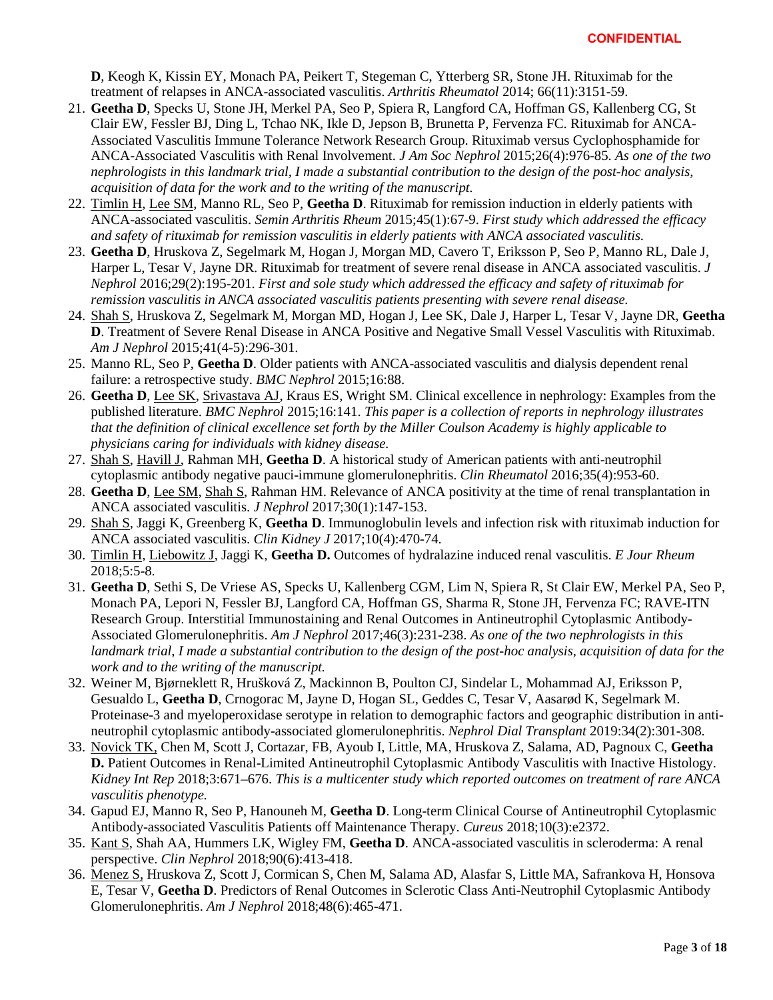**D**, Keogh K, Kissin EY, Monach PA, Peikert T, Stegeman C, Ytterberg SR, Stone JH. Rituximab for the treatment of relapses in ANCA-associated vasculitis. *Arthritis Rheumatol* 2014; 66(11):3151-59.

- 21. **[Geetha D](https://www.ncbi.nlm.nih.gov/pubmed/?term=Geetha%20D%5BAuthor%5D&cauthor=true&cauthor_uid=25381429)**, [Specks U,](https://www.ncbi.nlm.nih.gov/pubmed/?term=Specks%20U%5BAuthor%5D&cauthor=true&cauthor_uid=25381429) [Stone JH,](https://www.ncbi.nlm.nih.gov/pubmed/?term=Stone%20JH%5BAuthor%5D&cauthor=true&cauthor_uid=25381429) [Merkel PA,](https://www.ncbi.nlm.nih.gov/pubmed/?term=Merkel%20PA%5BAuthor%5D&cauthor=true&cauthor_uid=25381429) [Seo P,](https://www.ncbi.nlm.nih.gov/pubmed/?term=Seo%20P%5BAuthor%5D&cauthor=true&cauthor_uid=25381429) [Spiera R,](https://www.ncbi.nlm.nih.gov/pubmed/?term=Spiera%20R%5BAuthor%5D&cauthor=true&cauthor_uid=25381429) [Langford CA,](https://www.ncbi.nlm.nih.gov/pubmed/?term=Langford%20CA%5BAuthor%5D&cauthor=true&cauthor_uid=25381429) [Hoffman GS,](https://www.ncbi.nlm.nih.gov/pubmed/?term=Hoffman%20GS%5BAuthor%5D&cauthor=true&cauthor_uid=25381429) [Kallenberg CG,](https://www.ncbi.nlm.nih.gov/pubmed/?term=Kallenberg%20CG%5BAuthor%5D&cauthor=true&cauthor_uid=25381429) [St](https://www.ncbi.nlm.nih.gov/pubmed/?term=St%20Clair%20EW%5BAuthor%5D&cauthor=true&cauthor_uid=25381429)  [Clair EW,](https://www.ncbi.nlm.nih.gov/pubmed/?term=St%20Clair%20EW%5BAuthor%5D&cauthor=true&cauthor_uid=25381429) [Fessler BJ,](https://www.ncbi.nlm.nih.gov/pubmed/?term=Fessler%20BJ%5BAuthor%5D&cauthor=true&cauthor_uid=25381429) [Ding L,](https://www.ncbi.nlm.nih.gov/pubmed/?term=Ding%20L%5BAuthor%5D&cauthor=true&cauthor_uid=25381429) [Tchao NK,](https://www.ncbi.nlm.nih.gov/pubmed/?term=Tchao%20NK%5BAuthor%5D&cauthor=true&cauthor_uid=25381429) [Ikle D,](https://www.ncbi.nlm.nih.gov/pubmed/?term=Ikle%20D%5BAuthor%5D&cauthor=true&cauthor_uid=25381429) [Jepson B,](https://www.ncbi.nlm.nih.gov/pubmed/?term=Jepson%20B%5BAuthor%5D&cauthor=true&cauthor_uid=25381429) [Brunetta P,](https://www.ncbi.nlm.nih.gov/pubmed/?term=Brunetta%20P%5BAuthor%5D&cauthor=true&cauthor_uid=25381429) [Fervenza FC.](https://www.ncbi.nlm.nih.gov/pubmed/?term=Fervenza%20FC%5BAuthor%5D&cauthor=true&cauthor_uid=25381429) Rituximab [for ANCA-](https://www.ncbi.nlm.nih.gov/pubmed/?term=Rituximab%20for%20ANCA-Associated%20Vasculitis%20Immune%20Tolerance%20Network%20Research%20Group%5BCorporate%20Author%5D)[Associated Vasculitis Immune Tolerance Network Research Group.](https://www.ncbi.nlm.nih.gov/pubmed/?term=Rituximab%20for%20ANCA-Associated%20Vasculitis%20Immune%20Tolerance%20Network%20Research%20Group%5BCorporate%20Author%5D) Rituximab versus Cyclophosphamide for ANCA-Associated Vasculitis with Renal Involvement. *[J Am Soc Nephrol](http://www.ncbi.nlm.nih.gov/pubmed/25381429)* 2015;26(4):976-85. *As one of the two nephrologists in this landmark trial, I made a substantial contribution to the design of the post-hoc analysis, acquisition of data for the work and to the writing of the manuscript.*
- 22. Timlin H, Lee SM, Manno RL, Seo P, **Geetha D**. Rituximab for remission induction in elderly patients with ANCA-associated vasculitis. *Semin Arthritis Rheum* 2015;45(1):67-9. *First study which addressed the efficacy and safety of rituximab for remission vasculitis in elderly patients with ANCA associated vasculitis.*
- 23. **Geetha D**, Hruskova Z, Segelmark M, Hogan J, Morgan MD, Cavero T, Eriksson P, Seo P, Manno RL, Dale J, Harper L, Tesar V, Jayne DR. Rituximab for treatment of severe renal disease in ANCA associated vasculitis. *J Nephrol* 2016;29(2):195-201. *First and sole study which addressed the efficacy and safety of rituximab for remission vasculitis in ANCA associated vasculitis patients presenting with severe renal disease.*
- 24. Shah S, Hruskova Z, Segelmark M, Morgan MD, Hogan J, Lee SK, Dale J, Harper L, Tesar V, Jayne DR, **Geetha D**. Treatment of Severe Renal Disease in ANCA Positive and Negative Small Vessel Vasculitis with Rituximab. *Am J Nephrol* 2015;41(4-5):296-301.
- 25. Manno RL, Seo P, **Geetha D**. Older patients with ANCA-associated vasculitis and dialysis dependent renal failure: a retrospective study. *BMC Nephrol* 2015;16:88.
- 26. **Geetha D**, Lee SK, Srivastava AJ, Kraus ES, Wright SM. Clinical excellence in nephrology: Examples from the published literature. *BMC Nephrol* 2015;16:141. *This paper is a collection of reports in nephrology illustrates that the definition of clinical excellence set forth by the Miller Coulson Academy is highly applicable to physicians caring for individuals with kidney disease.*
- 27. Shah S, Havill J, Rahman MH, **Geetha D**. A historical study of American patients with anti-neutrophil cytoplasmic antibody negative pauci-immune glomerulonephritis. *Clin Rheumatol* 2016;35(4):953-60.
- 28. **Geetha D**, Lee SM, Shah S, Rahman HM. Relevance of ANCA positivity at the time of renal transplantation in ANCA associated vasculitis. *J Nephrol* 2017;30(1):147-153.
- 29. Shah S, Jaggi K, Greenberg K, **Geetha D**. Immunoglobulin levels and infection risk with rituximab induction for ANCA associated vasculitis. *Clin Kidney J* 2017;10(4):470-74.
- 30. Timlin H, Liebowitz J, Jaggi K, **Geetha D.** Outcomes of hydralazine induced renal vasculitis. *E Jour Rheum* 2018;5:5-8.
- 31. **Geetha D**, Sethi S, De Vriese AS, Specks U, Kallenberg CGM, Lim N, Spiera R, St Clair EW, Merkel PA, Seo P, Monach PA, Lepori N, Fessler BJ, Langford CA, Hoffman GS, Sharma R, Stone JH, Fervenza FC; RAVE-ITN Research Group. Interstitial Immunostaining and Renal Outcomes in Antineutrophil Cytoplasmic Antibody-Associated Glomerulonephritis. *Am J Nephrol* 2017;46(3):231-238. *As one of the two nephrologists in this landmark trial, I made a substantial contribution to the design of the post-hoc analysis, acquisition of data for the work and to the writing of the manuscript.*
- 32. Weiner M, Bjørneklett R, Hrušková Z, Mackinnon B, Poulton CJ, Sindelar L, Mohammad AJ, Eriksson P, Gesualdo L, **Geetha D**, Crnogorac M, Jayne D, Hogan SL, Geddes C, Tesar V, Aasarød K, Segelmark M. Proteinase-3 and myeloperoxidase serotype in relation to demographic factors and geographic distribution in antineutrophil cytoplasmic antibody-associated glomerulonephritis. *Nephrol Dial Transplant* 2019:34(2):301-308.
- 33. Novick TK, Chen M, Scott J, Cortazar, FB, Ayoub I, Little, MA, Hruskova Z, Salama, AD, Pagnoux C, **Geetha D.** Patient Outcomes in Renal-Limited Antineutrophil Cytoplasmic Antibody Vasculitis with Inactive Histology. *Kidney Int Rep* 2018;3:671–676. *This is a multicenter study which reported outcomes on treatment of rare ANCA vasculitis phenotype.*
- 34. Gapud EJ, Manno R, Seo P, Hanouneh M, **Geetha D**. Long-term Clinical Course of Antineutrophil Cytoplasmic Antibody-associated Vasculitis Patients off Maintenance Therapy. *Cureus* 2018;10(3):e2372.
- 35. Kant S, Shah AA, Hummers LK, Wigley FM, **Geetha D**. ANCA-associated vasculitis in scleroderma: A renal perspective. *Clin Nephrol* 2018;90(6):413-418.
- 36. Menez S, Hruskova Z, Scott J, Cormican S, Chen M, Salama AD, Alasfar S, Little MA, Safrankova H, Honsova E, Tesar V, **Geetha D**. Predictors of Renal Outcomes in Sclerotic Class Anti-Neutrophil Cytoplasmic Antibody Glomerulonephritis. *Am J Nephrol* 2018;48(6):465-471.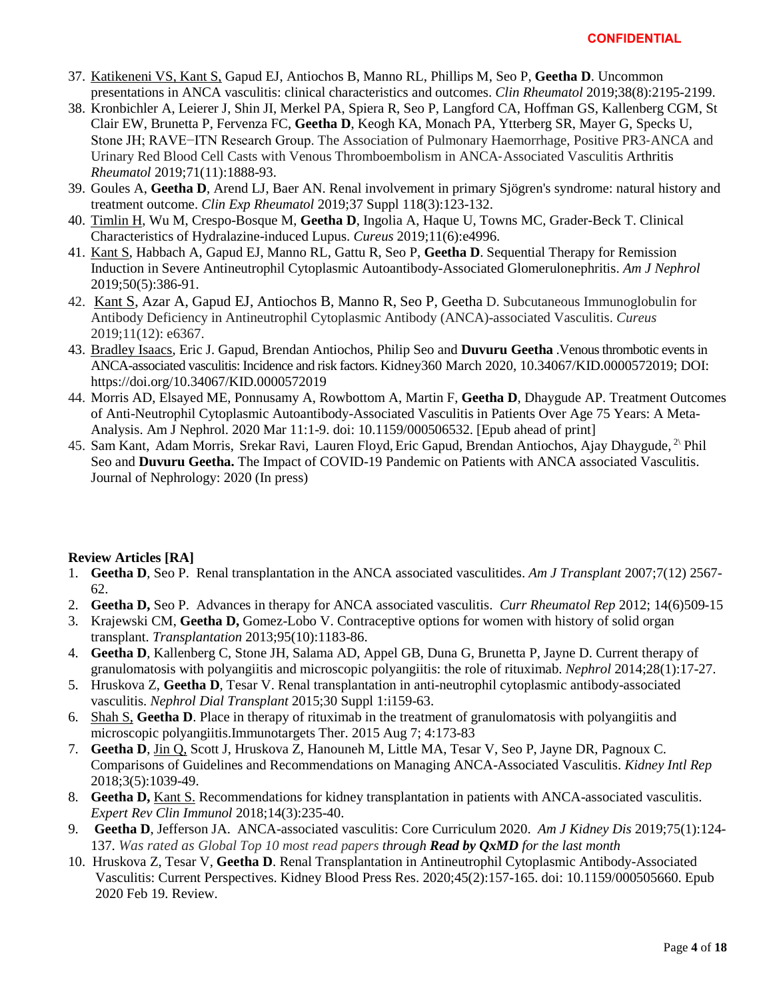- 37. Katikeneni VS, Kant S, Gapud EJ, Antiochos B, Manno RL, Phillips M, Seo P, **Geetha D**. Uncommon presentations in ANCA vasculitis: clinical characteristics and outcomes. *Clin Rheumatol* 2019;38(8):2195-2199.
- 38. Kronbichler A, Leierer J, Shin JI, Merkel PA, Spiera R, Seo P, Langford CA, Hoffman GS, Kallenberg CGM, St Clair EW, Brunetta P, Fervenza FC, **Geetha D**, Keogh KA, Monach PA, Ytterberg SR, Mayer G, Specks U, Stone JH; RAVE−ITN Research Group. The Association of Pulmonary Haemorrhage, Positive PR3‐ANCA and Urinary Red Blood Cell Casts with Venous Thromboembolism in ANCA‐Associated Vasculitis Arthritis *Rheumatol* 2019;71(11):1888-93.
- 39. Goules A, **Geetha D**, Arend LJ, Baer AN. Renal involvement in primary Sjögren's syndrome: natural history and treatment outcome. *Clin Exp Rheumatol* 2019;37 Suppl 118(3):123-132.
- 40. Timlin H, Wu M, Crespo-Bosque M, **Geetha D**, Ingolia A, Haque U, Towns MC, Grader-Beck T. Clinical Characteristics of Hydralazine-induced Lupus. *Cureus* 2019;11(6):e4996.
- 41. Kant S, Habbach A, Gapud EJ, Manno RL, Gattu R, Seo P, **Geetha D**. Sequential Therapy for Remission Induction in Severe Antineutrophil Cytoplasmic Autoantibody-Associated Glomerulonephritis. *Am J Nephrol* 2019;50(5):386-91.
- 42. [Kant](https://www.cureus.com/users/121222) S, [Azar](https://www.cureus.com/users/111558) A, [Gapud](https://www.cureus.com/users/56947) EJ, [Antiochos](https://www.cureus.com/users/121344) B, [Manno](https://www.cureus.com/users/55320) R, [Seo](https://www.cureus.com/users/55319) P, [Geetha](https://www.cureus.com/users/55316) D. Subcutaneous Immunoglobulin for Antibody Deficiency in Antineutrophil Cytoplasmic Antibody (ANCA)-associated Vasculitis. *Cureus* 2019;11(12): e6367.
- 43. Bradley Isaacs, Eric J. Gapud, Brendan Antiochos, Philip Seo and **Duvuru Geetha** .Venous thrombotic events in ANCA-associated vasculitis: Incidence and risk factors. Kidney360 March 2020, 10.34067/KID.0000572019; DOI: https://doi.org/10.34067/KID.0000572019
- 44. Morris AD, Elsayed ME, Ponnusamy A, Rowbottom A, Martin F, **Geetha D**, Dhaygude AP. Treatment Outcomes of Anti-Neutrophil Cytoplasmic Autoantibody-Associated Vasculitis in Patients Over Age 75 Years: A Meta-Analysis. Am J Nephrol. 2020 Mar 11:1-9. doi: 10.1159/000506532. [Epub ahead of print]
- 45. Sam Kant, Adam Morris, Srekar Ravi, Lauren Floyd,Eric Gapud, Brendan Antiochos, Ajay Dhaygude, 2\ Phil Seo and **Duvuru Geetha.** The Impact of COVID-19 Pandemic on Patients with ANCA associated Vasculitis. Journal of Nephrology: 2020 (In press)

# **Review Articles [RA]**

- 1. **Geetha D**, Seo P. Renal transplantation in the ANCA associated vasculitides. *Am J Transplant* 2007;7(12) 2567- 62.
- 2. **Geetha D,** Seo P. Advances in therapy for ANCA associated vasculitis. *Curr Rheumatol Rep* 2012; 14(6)509-15
- 3. Krajewski CM, **Geetha D,** Gomez-Lobo V. Contraceptive options for women with history of solid organ transplant. *Transplantation* 2013;95(10):1183-86.
- 4. **Geetha D**, Kallenberg C, Stone JH, Salama AD, Appel GB, Duna G, Brunetta P, Jayne D. Current therapy of granulomatosis with polyangiitis and microscopic polyangiitis: the role of rituximab. *Nephrol* 2014;28(1):17-27.
- 5. Hruskova Z, **Geetha D**, Tesar V. Renal transplantation in anti-neutrophil cytoplasmic antibody-associated vasculitis. *Nephrol Dial Transplant* 2015;30 Suppl 1:i159-63.
- 6. Shah S, **Geetha D**. Place in therapy of rituximab in the treatment of granulomatosis with polyangiitis and microscopic polyangiitis.Immunotargets Ther. 2015 Aug 7; 4:173-83
- 7. **Geetha D**, Jin Q, Scott J, Hruskova Z, Hanouneh M, Little MA, Tesar V, Seo P, Jayne DR, Pagnoux C. Comparisons of Guidelines and Recommendations on Managing ANCA-Associated Vasculitis. *Kidney Intl Rep* 2018;3(5):1039-49.
- 8. **Geetha D,** Kant S. Recommendations for kidney transplantation in patients with ANCA-associated vasculitis. *Expert Rev Clin Immunol* 2018;14(3):235-40.
- 9. **Geetha D**, Jefferson JA. ANCA-associated vasculitis: Core Curriculum 2020. *Am J Kidney Dis* 2019;75(1):124- 137. *Was rated as Global Top 10 most read papers through [Read by QxMD](https://typeform.us11.list-manage.com/track/click?u=2be06d512897faf37514c5604&id=9e332ed776&e=f2df23d42f) for the last month*
- 10. Hruskova Z, Tesar V, **Geetha D**. Renal Transplantation in Antineutrophil Cytoplasmic Antibody-Associated Vasculitis: Current Perspectives. Kidney Blood Press Res. 2020;45(2):157-165. doi: 10.1159/000505660. Epub 2020 Feb 19. Review.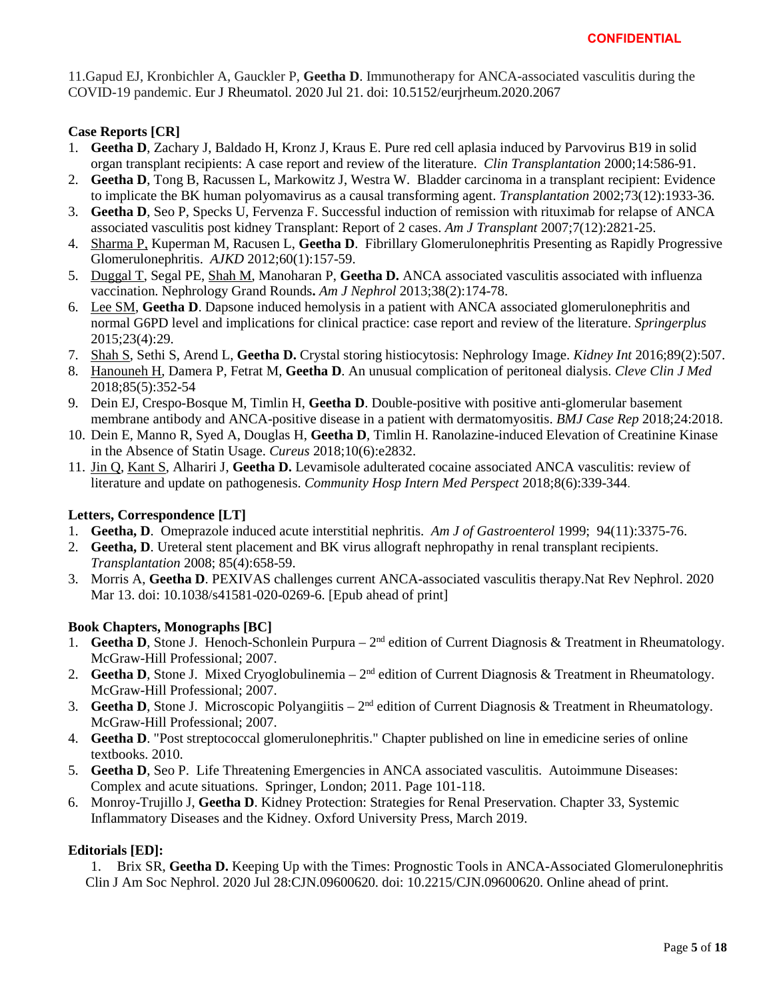11.Gapud EJ, Kronbichler A, Gauckler P, **Geetha D**. Immunotherapy for ANCA-associated vasculitis during the COVID-19 pandemic. Eur J Rheumatol. 2020 Jul 21. doi: 10.5152/eurjrheum.2020.2067

## **Case Reports [CR]**

- 1. **Geetha D**, Zachary J, Baldado H, Kronz J, Kraus E. Pure red cell aplasia induced by Parvovirus B19 in solid organ transplant recipients: A case report and review of the literature. *Clin Transplantation* 2000;14:586-91.
- 2. **Geetha D**, Tong B, Racussen L, Markowitz J, Westra W. Bladder carcinoma in a transplant recipient: Evidence to implicate the BK human polyomavirus as a causal transforming agent. *Transplantation* 2002;73(12):1933-36.
- 3. **Geetha D**, Seo P, Specks U, Fervenza F. Successful induction of remission with rituximab for relapse of ANCA associated vasculitis post kidney Transplant: Report of 2 cases. *Am J Transplant* 2007;7(12):2821-25.
- 4. Sharma P, Kuperman M, Racusen L, **Geetha D**. Fibrillary Glomerulonephritis Presenting as Rapidly Progressive Glomerulonephritis. *AJKD* 2012;60(1):157-59.
- 5. Duggal T, Segal PE, Shah M, Manoharan P, **Geetha D.** ANCA associated vasculitis associated with influenza vaccination. Nephrology Grand Rounds**.** *Am J Nephrol* 2013;38(2):174-78.
- 6. Lee SM, **Geetha D**. Dapsone induced hemolysis in a patient with ANCA associated glomerulonephritis and normal G6PD level and implications for clinical practice: case report and review of the literature. *Springerplus* 2015;23(4):29.
- 7. Shah S, Sethi S, Arend L, **Geetha D.** Crystal storing histiocytosis: Nephrology Image. *Kidney Int* 2016;89(2):507.
- 8. Hanouneh H, Damera P, Fetrat M, **Geetha D**. An unusual complication of peritoneal dialysis. *Cleve Clin J Med* 2018;85(5):352-54
- 9. Dein EJ, Crespo-Bosque M, Timlin H, **Geetha D**. Double-positive with positive anti-glomerular basement membrane antibody and ANCA-positive disease in a patient with dermatomyositis. *BMJ Case Rep* 2018;24:2018.
- 10. Dein E, Manno R, Syed A, Douglas H, **Geetha D**, Timlin H. Ranolazine-induced Elevation of Creatinine Kinase in the Absence of Statin Usage. *Cureus* 2018;10(6):e2832.
- 11. Jin Q, Kant S, Alhariri J, **Geetha D.** Levamisole adulterated cocaine associated ANCA vasculitis: review of literature and update on pathogenesis. *Community Hosp Intern Med Perspect* 2018;8(6):339-344.

### **Letters, Correspondence [LT]**

- 1. **Geetha, D**. Omeprazole induced acute interstitial nephritis. *Am J of Gastroenterol* 1999; 94(11):3375-76.
- 2. **Geetha, D**. Ureteral stent placement and BK virus allograft nephropathy in renal transplant recipients. *Transplantation* 2008; 85(4):658-59.
- 3. Morris A, **Geetha D**. PEXIVAS challenges current ANCA-associated vasculitis therapy.Nat Rev Nephrol. 2020 Mar 13. doi: 10.1038/s41581-020-0269-6. [Epub ahead of print]

### **Book Chapters, Monographs [BC]**

- 1. **Geetha D**, Stone J. Henoch-Schonlein Purpura 2<sup>nd</sup> edition of Current Diagnosis & Treatment in Rheumatology. McGraw-Hill Professional; 2007.
- 2. **Geetha D**, Stone J. Mixed Cryoglobulinemia 2<sup>nd</sup> edition of Current Diagnosis & Treatment in Rheumatology. McGraw-Hill Professional; 2007.
- 3. **Geetha D**, Stone J. Microscopic Polyangiitis 2<sup>nd</sup> edition of Current Diagnosis & Treatment in Rheumatology. McGraw-Hill Professional; 2007.
- 4. **Geetha D**. "Post streptococcal glomerulonephritis." Chapter published on line in emedicine series of online textbooks. 2010.
- 5. **Geetha D**, Seo P. Life Threatening Emergencies in ANCA associated vasculitis. Autoimmune Diseases: Complex and acute situations. Springer, London; 2011. Page 101-118.
- 6. Monroy-Trujillo J, **Geetha D**. Kidney Protection: Strategies for Renal Preservation. Chapter 33, Systemic Inflammatory Diseases and the Kidney. Oxford University Press, March 2019.

### **Editorials [ED]:**

1. Brix SR, **Geetha D.** Keeping Up with the Times: Prognostic Tools in ANCA-Associated Glomerulonephritis Clin J Am Soc Nephrol. 2020 Jul 28:CJN.09600620. doi: 10.2215/CJN.09600620. Online ahead of print.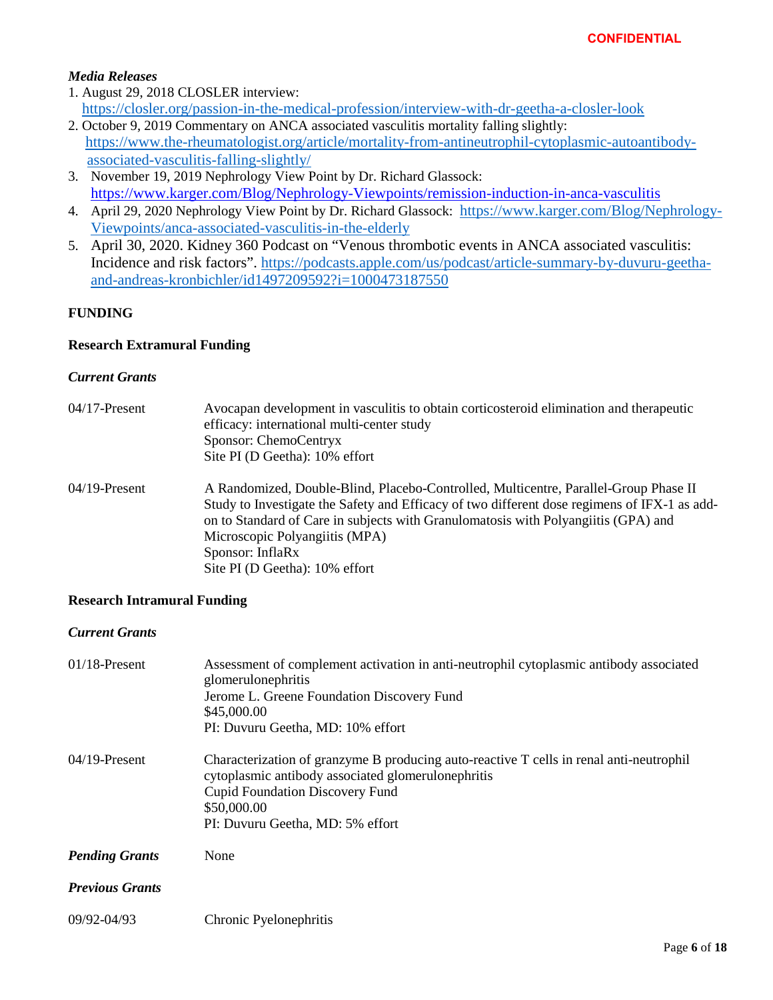# *Media Releases*

- 1. August 29, 2018 CLOSLER interview: <https://closler.org/passion-in-the-medical-profession/interview-with-dr-geetha-a-closler-look>
- 2. October 9, 2019 Commentary on ANCA associated vasculitis mortality falling slightly: [https://www.the-rheumatologist.org/article/mortality-from-antineutrophil-cytoplasmic-autoantibody](https://www.the-rheumatologist.org/article/mortality-from-antineutrophil-cytoplasmic-autoantibody-%20%20%20%20%20associated-vasculitis-falling-slightly/)   [associated-vasculitis-falling-slightly/](https://www.the-rheumatologist.org/article/mortality-from-antineutrophil-cytoplasmic-autoantibody-%20%20%20%20%20associated-vasculitis-falling-slightly/)
- 3. November 19, 2019 Nephrology View Point by Dr. Richard Glassock: <https://www.karger.com/Blog/Nephrology-Viewpoints/remission-induction-in-anca-vasculitis>
- 4. April 29, 2020 Nephrology View Point by Dr. Richard Glassock: [https://www.karger.com/Blog/Nephrology-](https://www.karger.com/Blog/Nephrology-Viewpoints/anca-associated-vasculitis-in-the-elderly)[Viewpoints/anca-associated-vasculitis-in-the-elderly](https://www.karger.com/Blog/Nephrology-Viewpoints/anca-associated-vasculitis-in-the-elderly)
- 5. April 30, 2020. Kidney 360 Podcast on "Venous thrombotic events in ANCA associated vasculitis: Incidence and risk factors". [https://podcasts.apple.com/us/podcast/article-summary-by-duvuru-geetha](https://podcasts.apple.com/us/podcast/article-summary-by-duvuru-geetha-and-andreas-kronbichler/id1497209592?i=1000473187550)[and-andreas-kronbichler/id1497209592?i=1000473187550](https://podcasts.apple.com/us/podcast/article-summary-by-duvuru-geetha-and-andreas-kronbichler/id1497209592?i=1000473187550)

# **FUNDING**

## **Research Extramural Funding**

## *Current Grants*

| $04/17$ -Present | Avocapan development in vasculitis to obtain corticosteroid elimination and therapeutic<br>efficacy: international multi-center study<br>Sponsor: ChemoCentryx<br>Site PI (D Geetha): 10% effort                                                                                                                                                                   |
|------------------|--------------------------------------------------------------------------------------------------------------------------------------------------------------------------------------------------------------------------------------------------------------------------------------------------------------------------------------------------------------------|
| $04/19$ -Present | A Randomized, Double-Blind, Placebo-Controlled, Multicentre, Parallel-Group Phase II<br>Study to Investigate the Safety and Efficacy of two different dose regimens of IFX-1 as add-<br>on to Standard of Care in subjects with Granulomatosis with Polyangiitis (GPA) and<br>Microscopic Polyangiitis (MPA)<br>Sponsor: InflaRx<br>Site PI (D Geetha): 10% effort |

# **Research Intramural Funding**

### *Current Grants*

| $01/18$ -Present       | Assessment of complement activation in anti-neutrophil cytoplasmic antibody associated<br>glomerulonephritis<br>Jerome L. Greene Foundation Discovery Fund<br>\$45,000.00<br>PI: Duvuru Geetha, MD: 10% effort                             |
|------------------------|--------------------------------------------------------------------------------------------------------------------------------------------------------------------------------------------------------------------------------------------|
| $04/19$ -Present       | Characterization of granzyme B producing auto-reactive T cells in renal anti-neutrophil<br>cytoplasmic antibody associated glomerulonephritis<br><b>Cupid Foundation Discovery Fund</b><br>\$50,000.00<br>PI: Duvuru Geetha, MD: 5% effort |
| <b>Pending Grants</b>  | None                                                                                                                                                                                                                                       |
| <b>Previous Grants</b> |                                                                                                                                                                                                                                            |
| 09/92-04/93            | Chronic Pyelonephritis                                                                                                                                                                                                                     |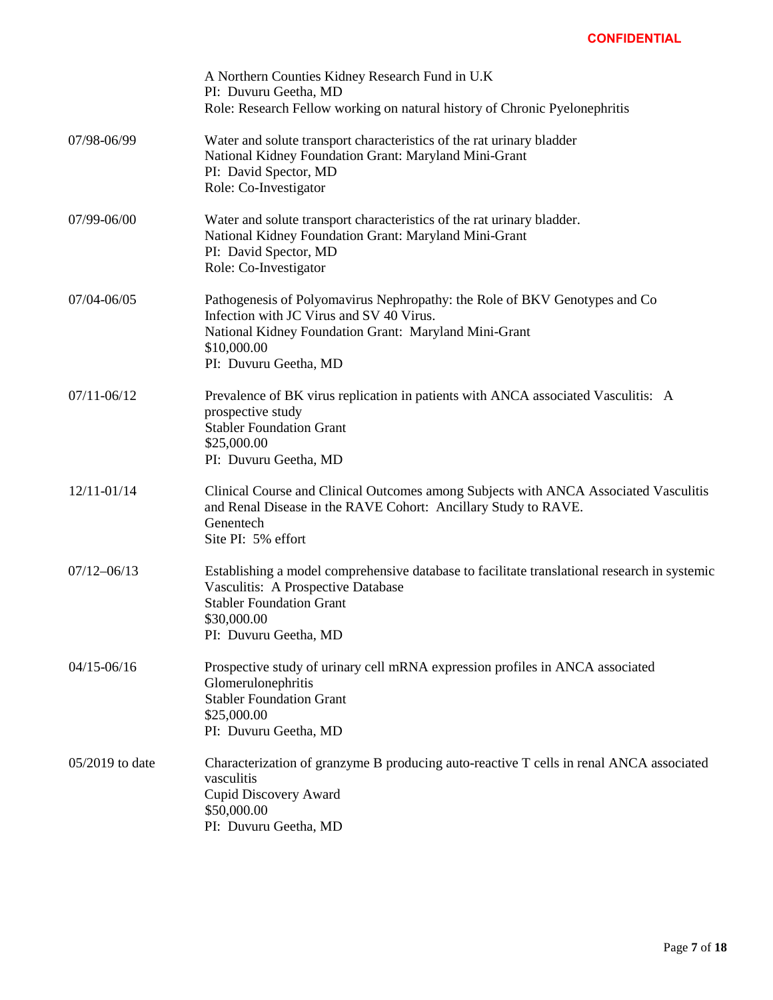|                 | A Northern Counties Kidney Research Fund in U.K.<br>PI: Duvuru Geetha, MD<br>Role: Research Fellow working on natural history of Chronic Pyelonephritis                                                                 |
|-----------------|-------------------------------------------------------------------------------------------------------------------------------------------------------------------------------------------------------------------------|
| 07/98-06/99     | Water and solute transport characteristics of the rat urinary bladder<br>National Kidney Foundation Grant: Maryland Mini-Grant<br>PI: David Spector, MD<br>Role: Co-Investigator                                        |
| 07/99-06/00     | Water and solute transport characteristics of the rat urinary bladder.<br>National Kidney Foundation Grant: Maryland Mini-Grant<br>PI: David Spector, MD<br>Role: Co-Investigator                                       |
| 07/04-06/05     | Pathogenesis of Polyomavirus Nephropathy: the Role of BKV Genotypes and Co<br>Infection with JC Virus and SV 40 Virus.<br>National Kidney Foundation Grant: Maryland Mini-Grant<br>\$10,000.00<br>PI: Duvuru Geetha, MD |
| $07/11 - 06/12$ | Prevalence of BK virus replication in patients with ANCA associated Vasculitis: A<br>prospective study<br><b>Stabler Foundation Grant</b><br>\$25,000.00<br>PI: Duvuru Geetha, MD                                       |
| 12/11-01/14     | Clinical Course and Clinical Outcomes among Subjects with ANCA Associated Vasculitis<br>and Renal Disease in the RAVE Cohort: Ancillary Study to RAVE.<br>Genentech<br>Site PI: 5% effort                               |
| $07/12 - 06/13$ | Establishing a model comprehensive database to facilitate translational research in systemic<br>Vasculitis: A Prospective Database<br><b>Stabler Foundation Grant</b><br>\$30,000.00<br>PI: Duvuru Geetha, MD           |
| $04/15 - 06/16$ | Prospective study of urinary cell mRNA expression profiles in ANCA associated<br>Glomerulonephritis<br><b>Stabler Foundation Grant</b><br>\$25,000.00<br>PI: Duvuru Geetha, MD                                          |
| 05/2019 to date | Characterization of granzyme B producing auto-reactive T cells in renal ANCA associated<br>vasculitis<br><b>Cupid Discovery Award</b><br>\$50,000.00<br>PI: Duvuru Geetha, MD                                           |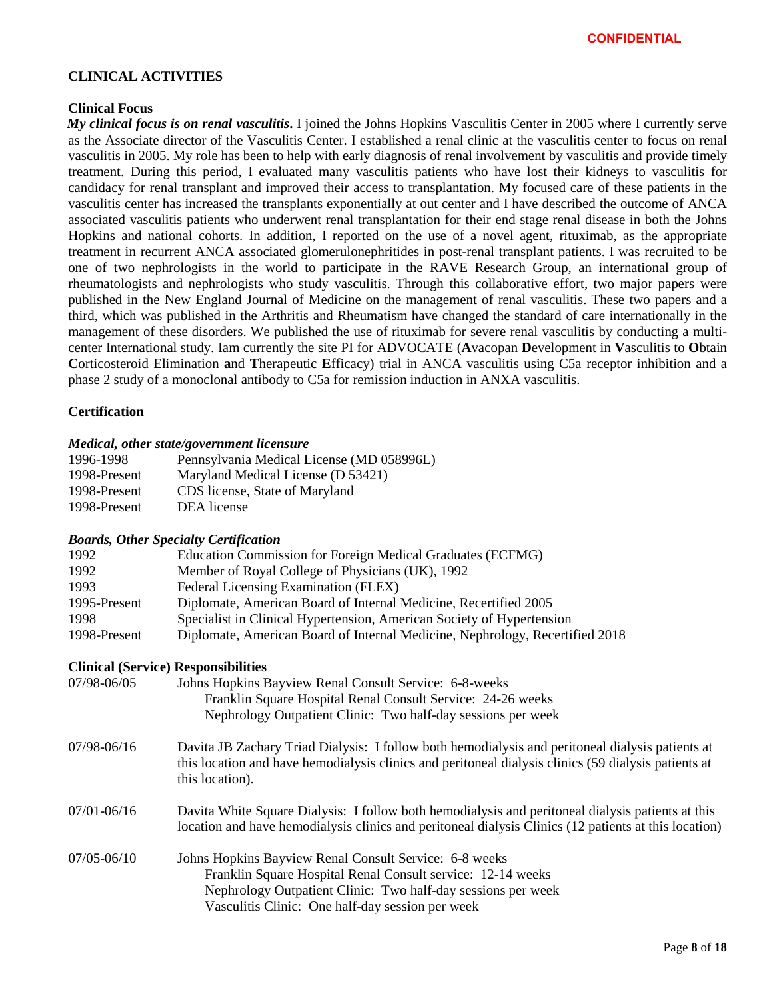### **CLINICAL ACTIVITIES**

### **Clinical Focus**

*My clinical focus is on renal vasculitis***.** I joined the Johns Hopkins Vasculitis Center in 2005 where I currently serve as the Associate director of the Vasculitis Center. I established a renal clinic at the vasculitis center to focus on renal vasculitis in 2005. My role has been to help with early diagnosis of renal involvement by vasculitis and provide timely treatment. During this period, I evaluated many vasculitis patients who have lost their kidneys to vasculitis for candidacy for renal transplant and improved their access to transplantation. My focused care of these patients in the vasculitis center has increased the transplants exponentially at out center and I have described the outcome of ANCA associated vasculitis patients who underwent renal transplantation for their end stage renal disease in both the Johns Hopkins and national cohorts. In addition, I reported on the use of a novel agent, rituximab, as the appropriate treatment in recurrent ANCA associated glomerulonephritides in post-renal transplant patients. I was recruited to be one of two nephrologists in the world to participate in the RAVE Research Group, an international group of rheumatologists and nephrologists who study vasculitis. Through this collaborative effort, two major papers were published in the New England Journal of Medicine on the management of renal vasculitis. These two papers and a third, which was published in the Arthritis and Rheumatism have changed the standard of care internationally in the management of these disorders. We published the use of rituximab for severe renal vasculitis by conducting a multicenter International study. Iam currently the site PI for ADVOCATE (**A**vacopan **D**evelopment in **V**asculitis to **O**btain **C**orticosteroid Elimination **a**nd **T**herapeutic **E**fficacy) trial in ANCA vasculitis using C5a receptor inhibition and a phase 2 study of a monoclonal antibody to C5a for remission induction in ANXA vasculitis.

### **Certification**

#### *Medical, other state/government licensure*

| 1996-1998    | Pennsylvania Medical License (MD 058996L) |
|--------------|-------------------------------------------|
| 1998-Present | Maryland Medical License (D 53421)        |
| 1998-Present | CDS license, State of Maryland            |
| 1998-Present | DEA license                               |

#### *Boards, Other Specialty Certification*

| Education Commission for Foreign Medical Graduates (ECFMG)                   |
|------------------------------------------------------------------------------|
| Member of Royal College of Physicians (UK), 1992                             |
| Federal Licensing Examination (FLEX)                                         |
| Diplomate, American Board of Internal Medicine, Recertified 2005             |
| Specialist in Clinical Hypertension, American Society of Hypertension        |
| Diplomate, American Board of Internal Medicine, Nephrology, Recertified 2018 |
|                                                                              |

#### **Clinical (Service) Responsibilities**

| 07/98-06/05     | Johns Hopkins Bayview Renal Consult Service: 6-8-weeks<br>Franklin Square Hospital Renal Consult Service: 24-26 weeks<br>Nephrology Outpatient Clinic: Two half-day sessions per week                                                     |
|-----------------|-------------------------------------------------------------------------------------------------------------------------------------------------------------------------------------------------------------------------------------------|
|                 |                                                                                                                                                                                                                                           |
| 07/98-06/16     | Davita JB Zachary Triad Dialysis: I follow both hemodialysis and peritoneal dialysis patients at<br>this location and have hemodialysis clinics and peritoneal dialysis clinics (59 dialysis patients at<br>this location).               |
| $07/01 - 06/16$ | Davita White Square Dialysis: I follow both hemodialysis and peritoneal dialysis patients at this<br>location and have hemodialysis clinics and peritoneal dialysis Clinics (12 patients at this location)                                |
| $07/05 - 06/10$ | Johns Hopkins Bayview Renal Consult Service: 6-8 weeks<br>Franklin Square Hospital Renal Consult service: 12-14 weeks<br>Nephrology Outpatient Clinic: Two half-day sessions per week<br>Vasculitis Clinic: One half-day session per week |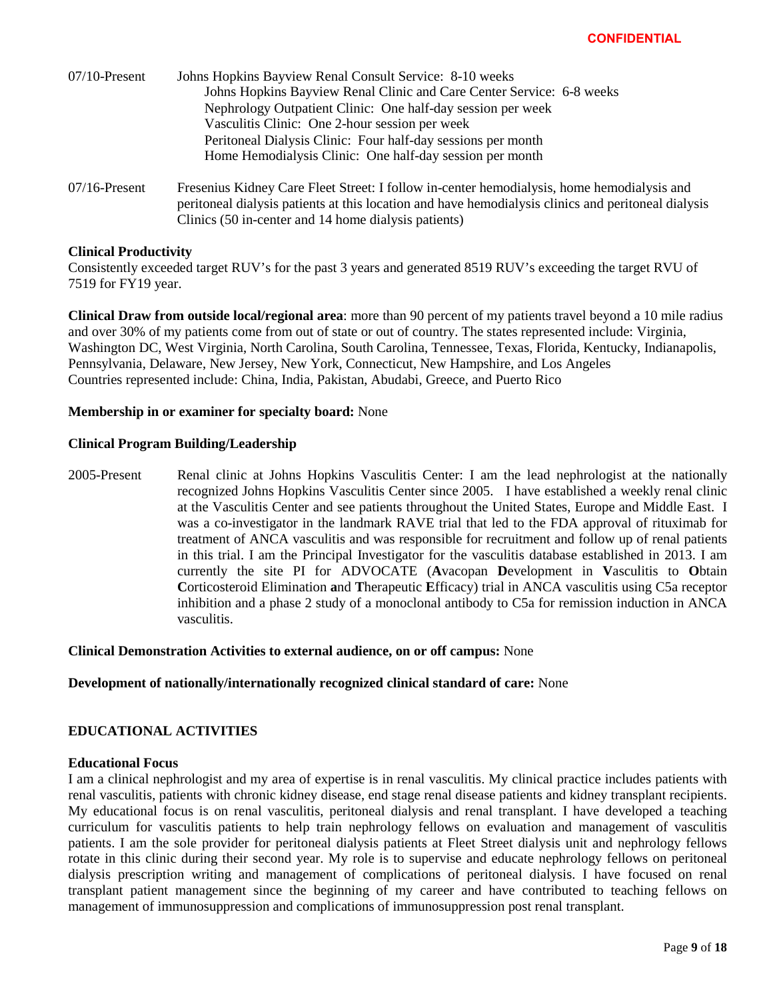| $07/10$ -Present | Johns Hopkins Bayview Renal Consult Service: 8-10 weeks                                                                                                                                           |
|------------------|---------------------------------------------------------------------------------------------------------------------------------------------------------------------------------------------------|
|                  | Johns Hopkins Bayview Renal Clinic and Care Center Service: 6-8 weeks                                                                                                                             |
|                  | Nephrology Outpatient Clinic: One half-day session per week                                                                                                                                       |
|                  | Vasculitis Clinic: One 2-hour session per week                                                                                                                                                    |
|                  | Peritoneal Dialysis Clinic: Four half-day sessions per month                                                                                                                                      |
|                  | Home Hemodialysis Clinic: One half-day session per month                                                                                                                                          |
| $07/16$ -Present | Fresenius Kidney Care Fleet Street: I follow in-center hemodialysis, home hemodialysis and<br>peritoneal dialysis patients at this location and have hemodialysis clinics and peritoneal dialysis |
|                  | Clinics (50 in-center and 14 home dialysis patients)                                                                                                                                              |

### **Clinical Productivity**

Consistently exceeded target RUV's for the past 3 years and generated 8519 RUV's exceeding the target RVU of 7519 for FY19 year.

**Clinical Draw from outside local/regional area**: more than 90 percent of my patients travel beyond a 10 mile radius and over 30% of my patients come from out of state or out of country. The states represented include: Virginia, Washington DC, West Virginia, North Carolina, South Carolina, Tennessee, Texas, Florida, Kentucky, Indianapolis, Pennsylvania, Delaware, New Jersey, New York, Connecticut, New Hampshire, and Los Angeles Countries represented include: China, India, Pakistan, Abudabi, Greece, and Puerto Rico

### **Membership in or examiner for specialty board:** None

#### **Clinical Program Building/Leadership**

2005-Present Renal clinic at Johns Hopkins Vasculitis Center: I am the lead nephrologist at the nationally recognized Johns Hopkins Vasculitis Center since 2005. I have established a weekly renal clinic at the Vasculitis Center and see patients throughout the United States, Europe and Middle East. I was a co-investigator in the landmark RAVE trial that led to the FDA approval of rituximab for treatment of ANCA vasculitis and was responsible for recruitment and follow up of renal patients in this trial. I am the Principal Investigator for the vasculitis database established in 2013. I am currently the site PI for ADVOCATE (**A**vacopan **D**evelopment in **V**asculitis to **O**btain **C**orticosteroid Elimination **a**nd **T**herapeutic **E**fficacy) trial in ANCA vasculitis using C5a receptor inhibition and a phase 2 study of a monoclonal antibody to C5a for remission induction in ANCA vasculitis.

**Clinical Demonstration Activities to external audience, on or off campus:** None

#### **Development of nationally/internationally recognized clinical standard of care:** None

### **EDUCATIONAL ACTIVITIES**

#### **Educational Focus**

I am a clinical nephrologist and my area of expertise is in renal vasculitis. My clinical practice includes patients with renal vasculitis, patients with chronic kidney disease, end stage renal disease patients and kidney transplant recipients. My educational focus is on renal vasculitis, peritoneal dialysis and renal transplant. I have developed a teaching curriculum for vasculitis patients to help train nephrology fellows on evaluation and management of vasculitis patients. I am the sole provider for peritoneal dialysis patients at Fleet Street dialysis unit and nephrology fellows rotate in this clinic during their second year. My role is to supervise and educate nephrology fellows on peritoneal dialysis prescription writing and management of complications of peritoneal dialysis. I have focused on renal transplant patient management since the beginning of my career and have contributed to teaching fellows on management of immunosuppression and complications of immunosuppression post renal transplant.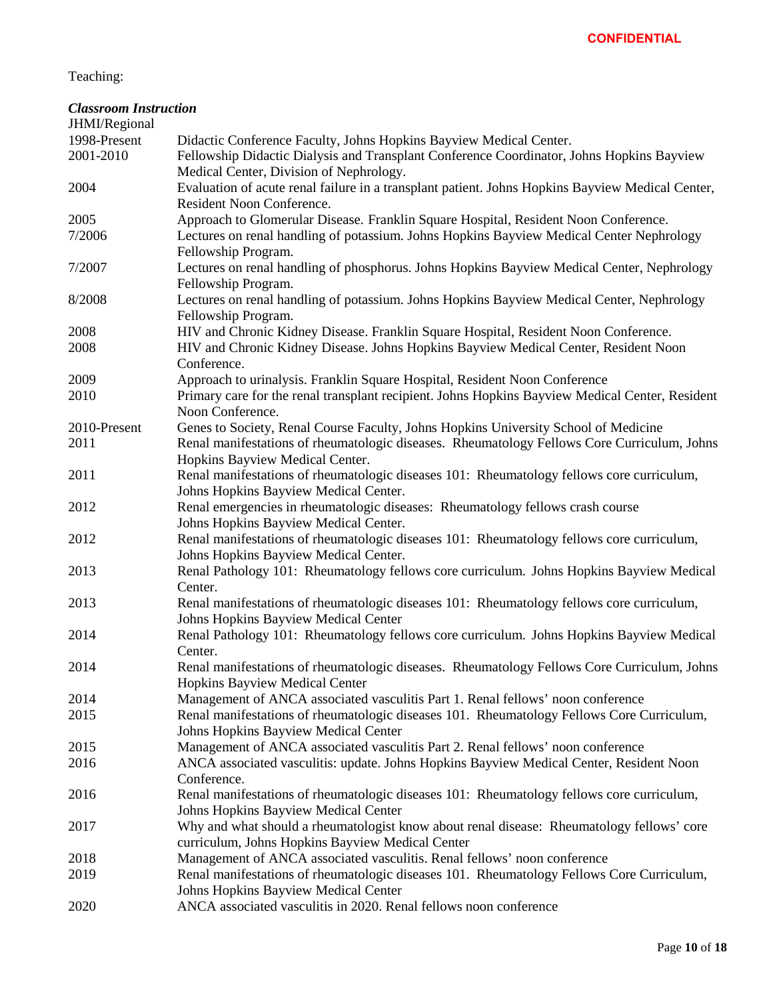Teaching:

| JHMI/Regional |                                                                                                                                               |
|---------------|-----------------------------------------------------------------------------------------------------------------------------------------------|
| 1998-Present  | Didactic Conference Faculty, Johns Hopkins Bayview Medical Center.                                                                            |
| 2001-2010     | Fellowship Didactic Dialysis and Transplant Conference Coordinator, Johns Hopkins Bayview<br>Medical Center, Division of Nephrology.          |
| 2004          | Evaluation of acute renal failure in a transplant patient. Johns Hopkins Bayview Medical Center,<br>Resident Noon Conference.                 |
| 2005          | Approach to Glomerular Disease. Franklin Square Hospital, Resident Noon Conference.                                                           |
| 7/2006        | Lectures on renal handling of potassium. Johns Hopkins Bayview Medical Center Nephrology<br>Fellowship Program.                               |
| 7/2007        | Lectures on renal handling of phosphorus. Johns Hopkins Bayview Medical Center, Nephrology<br>Fellowship Program.                             |
| 8/2008        | Lectures on renal handling of potassium. Johns Hopkins Bayview Medical Center, Nephrology<br>Fellowship Program.                              |
| 2008          | HIV and Chronic Kidney Disease. Franklin Square Hospital, Resident Noon Conference.                                                           |
| 2008          | HIV and Chronic Kidney Disease. Johns Hopkins Bayview Medical Center, Resident Noon<br>Conference.                                            |
| 2009          | Approach to urinalysis. Franklin Square Hospital, Resident Noon Conference                                                                    |
| 2010          | Primary care for the renal transplant recipient. Johns Hopkins Bayview Medical Center, Resident<br>Noon Conference.                           |
| 2010-Present  | Genes to Society, Renal Course Faculty, Johns Hopkins University School of Medicine                                                           |
| 2011          | Renal manifestations of rheumatologic diseases. Rheumatology Fellows Core Curriculum, Johns<br>Hopkins Bayview Medical Center.                |
| 2011          | Renal manifestations of rheumatologic diseases 101: Rheumatology fellows core curriculum,<br>Johns Hopkins Bayview Medical Center.            |
| 2012          | Renal emergencies in rheumatologic diseases: Rheumatology fellows crash course<br>Johns Hopkins Bayview Medical Center.                       |
| 2012          | Renal manifestations of rheumatologic diseases 101: Rheumatology fellows core curriculum,<br>Johns Hopkins Bayview Medical Center.            |
| 2013          | Renal Pathology 101: Rheumatology fellows core curriculum. Johns Hopkins Bayview Medical<br>Center.                                           |
| 2013          | Renal manifestations of rheumatologic diseases 101: Rheumatology fellows core curriculum,<br><b>Johns Hopkins Bayview Medical Center</b>      |
| 2014          | Renal Pathology 101: Rheumatology fellows core curriculum. Johns Hopkins Bayview Medical<br>Center.                                           |
| 2014          | Renal manifestations of rheumatologic diseases. Rheumatology Fellows Core Curriculum, Johns<br>Hopkins Bayview Medical Center                 |
| 2014          | Management of ANCA associated vasculitis Part 1. Renal fellows' noon conference                                                               |
| 2015          | Renal manifestations of rheumatologic diseases 101. Rheumatology Fellows Core Curriculum,<br><b>Johns Hopkins Bayview Medical Center</b>      |
| 2015          | Management of ANCA associated vasculitis Part 2. Renal fellows' noon conference                                                               |
| 2016          | ANCA associated vasculitis: update. Johns Hopkins Bayview Medical Center, Resident Noon<br>Conference.                                        |
| 2016          | Renal manifestations of rheumatologic diseases 101: Rheumatology fellows core curriculum,<br>Johns Hopkins Bayview Medical Center             |
| 2017          | Why and what should a rheumatologist know about renal disease: Rheumatology fellows' core<br>curriculum, Johns Hopkins Bayview Medical Center |
| 2018          | Management of ANCA associated vasculitis. Renal fellows' noon conference                                                                      |
| 2019          | Renal manifestations of rheumatologic diseases 101. Rheumatology Fellows Core Curriculum,<br>Johns Hopkins Bayview Medical Center             |
| 2020          | ANCA associated vasculitis in 2020. Renal fellows noon conference                                                                             |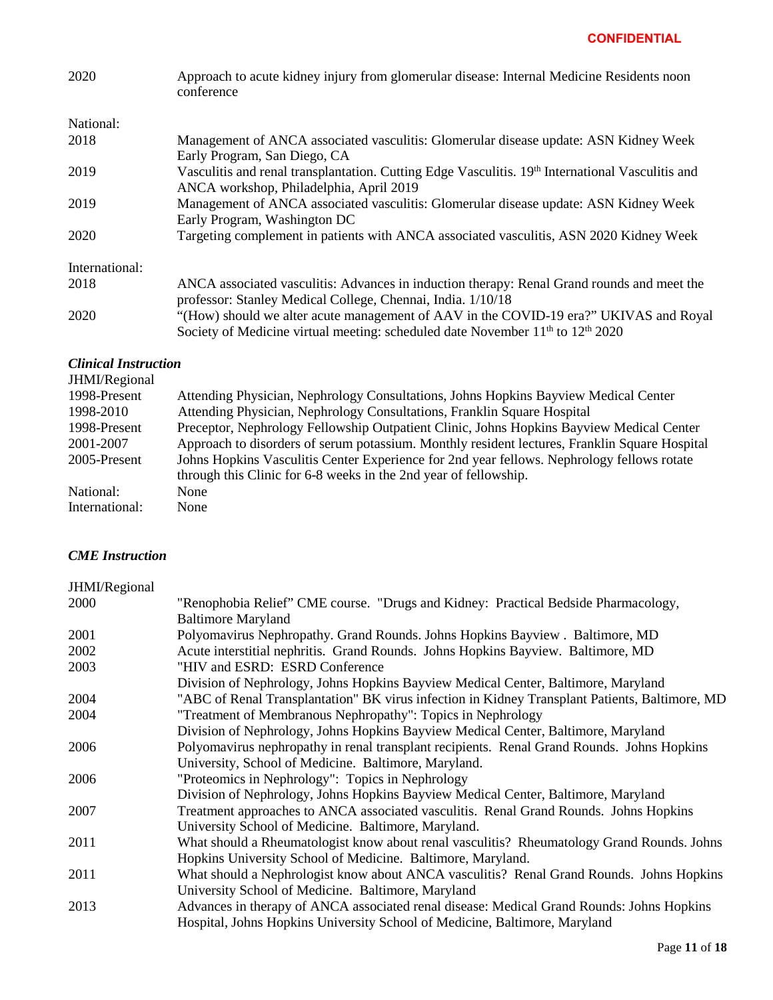| 2020                        | Approach to acute kidney injury from glomerular disease: Internal Medicine Residents noon<br>conference                                                                                         |
|-----------------------------|-------------------------------------------------------------------------------------------------------------------------------------------------------------------------------------------------|
| National:                   |                                                                                                                                                                                                 |
| 2018                        | Management of ANCA associated vasculitis: Glomerular disease update: ASN Kidney Week<br>Early Program, San Diego, CA                                                                            |
| 2019                        | Vasculitis and renal transplantation. Cutting Edge Vasculitis. 19th International Vasculitis and<br>ANCA workshop, Philadelphia, April 2019                                                     |
| 2019                        | Management of ANCA associated vasculitis: Glomerular disease update: ASN Kidney Week<br>Early Program, Washington DC                                                                            |
| 2020                        | Targeting complement in patients with ANCA associated vasculitis, ASN 2020 Kidney Week                                                                                                          |
| International:              |                                                                                                                                                                                                 |
| 2018                        | ANCA associated vasculitis: Advances in induction therapy: Renal Grand rounds and meet the<br>professor: Stanley Medical College, Chennai, India. 1/10/18                                       |
| 2020                        | "(How) should we alter acute management of AAV in the COVID-19 era?" UKIVAS and Royal<br>Society of Medicine virtual meeting: scheduled date November 11 <sup>th</sup> to 12 <sup>th</sup> 2020 |
| <b>Clinical Instruction</b> |                                                                                                                                                                                                 |

| JHMI/Regional  |                                                                                               |
|----------------|-----------------------------------------------------------------------------------------------|
| 1998-Present   | Attending Physician, Nephrology Consultations, Johns Hopkins Bayview Medical Center           |
| 1998-2010      | Attending Physician, Nephrology Consultations, Franklin Square Hospital                       |
| 1998-Present   | Preceptor, Nephrology Fellowship Outpatient Clinic, Johns Hopkins Bayview Medical Center      |
| 2001-2007      | Approach to disorders of serum potassium. Monthly resident lectures, Franklin Square Hospital |
| 2005-Present   | Johns Hopkins Vasculitis Center Experience for 2nd year fellows. Nephrology fellows rotate    |
|                | through this Clinic for 6-8 weeks in the 2nd year of fellowship.                              |
| National:      | None                                                                                          |
| International: | None                                                                                          |
|                |                                                                                               |

## *CME Instruction*

| JHMI/Regional |                                                                                                |
|---------------|------------------------------------------------------------------------------------------------|
| 2000          | "Renophobia Relief" CME course. "Drugs and Kidney: Practical Bedside Pharmacology,             |
|               | <b>Baltimore Maryland</b>                                                                      |
| 2001          | Polyomavirus Nephropathy. Grand Rounds. Johns Hopkins Bayview . Baltimore, MD                  |
| 2002          | Acute interstitial nephritis. Grand Rounds. Johns Hopkins Bayview. Baltimore, MD               |
| 2003          | "HIV and ESRD: ESRD Conference                                                                 |
|               | Division of Nephrology, Johns Hopkins Bayview Medical Center, Baltimore, Maryland              |
| 2004          | "ABC of Renal Transplantation" BK virus infection in Kidney Transplant Patients, Baltimore, MD |
| 2004          | "Treatment of Membranous Nephropathy": Topics in Nephrology                                    |
|               | Division of Nephrology, Johns Hopkins Bayview Medical Center, Baltimore, Maryland              |
| 2006          | Polyomavirus nephropathy in renal transplant recipients. Renal Grand Rounds. Johns Hopkins     |
|               | University, School of Medicine. Baltimore, Maryland.                                           |
| 2006          | "Proteomics in Nephrology": Topics in Nephrology                                               |
|               | Division of Nephrology, Johns Hopkins Bayview Medical Center, Baltimore, Maryland              |
| 2007          | Treatment approaches to ANCA associated vasculitis. Renal Grand Rounds. Johns Hopkins          |
|               | University School of Medicine. Baltimore, Maryland.                                            |
| 2011          | What should a Rheumatologist know about renal vasculitis? Rheumatology Grand Rounds. Johns     |
|               | Hopkins University School of Medicine. Baltimore, Maryland.                                    |
| 2011          | What should a Nephrologist know about ANCA vasculitis? Renal Grand Rounds. Johns Hopkins       |
|               | University School of Medicine. Baltimore, Maryland                                             |
| 2013          | Advances in therapy of ANCA associated renal disease: Medical Grand Rounds: Johns Hopkins      |
|               | Hospital, Johns Hopkins University School of Medicine, Baltimore, Maryland                     |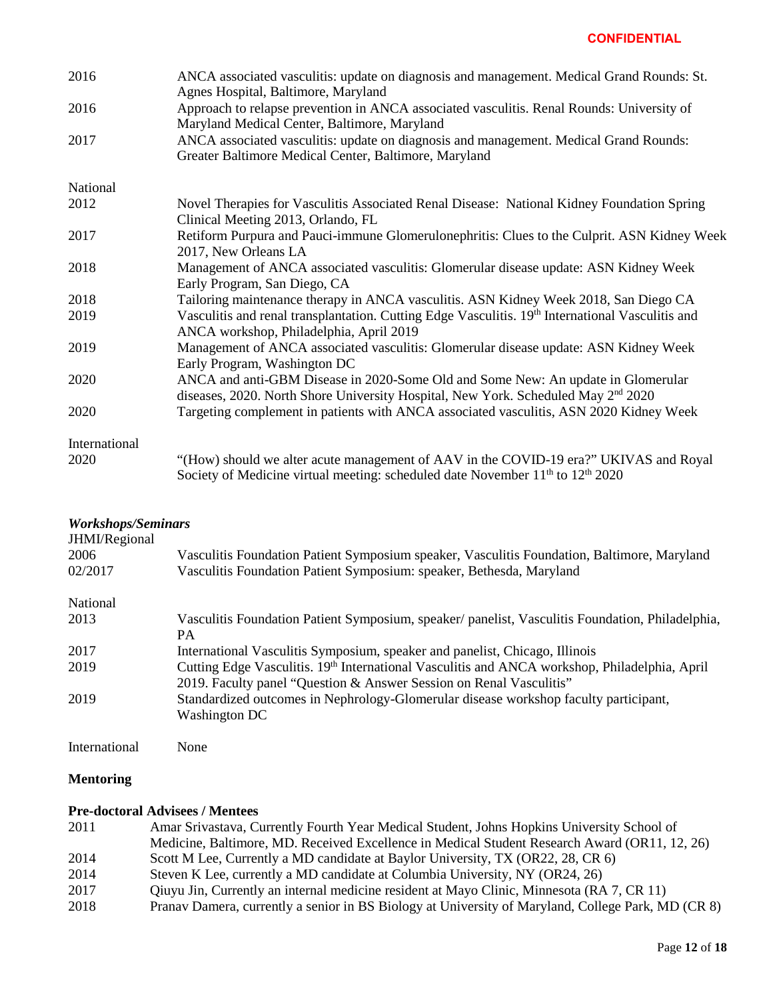| 2016          | ANCA associated vasculitis: update on diagnosis and management. Medical Grand Rounds: St.<br>Agnes Hospital, Baltimore, Maryland                                                                |
|---------------|-------------------------------------------------------------------------------------------------------------------------------------------------------------------------------------------------|
| 2016          | Approach to relapse prevention in ANCA associated vasculitis. Renal Rounds: University of<br>Maryland Medical Center, Baltimore, Maryland                                                       |
| 2017          | ANCA associated vasculitis: update on diagnosis and management. Medical Grand Rounds:<br>Greater Baltimore Medical Center, Baltimore, Maryland                                                  |
| National      |                                                                                                                                                                                                 |
| 2012          | Novel Therapies for Vasculitis Associated Renal Disease: National Kidney Foundation Spring<br>Clinical Meeting 2013, Orlando, FL                                                                |
| 2017          | Retiform Purpura and Pauci-immune Glomerulonephritis: Clues to the Culprit. ASN Kidney Week<br>2017, New Orleans LA                                                                             |
| 2018          | Management of ANCA associated vasculitis: Glomerular disease update: ASN Kidney Week<br>Early Program, San Diego, CA                                                                            |
| 2018          | Tailoring maintenance therapy in ANCA vasculitis. ASN Kidney Week 2018, San Diego CA                                                                                                            |
| 2019          | Vasculitis and renal transplantation. Cutting Edge Vasculitis. 19th International Vasculitis and<br>ANCA workshop, Philadelphia, April 2019                                                     |
| 2019          | Management of ANCA associated vasculitis: Glomerular disease update: ASN Kidney Week<br>Early Program, Washington DC                                                                            |
| 2020          | ANCA and anti-GBM Disease in 2020-Some Old and Some New: An update in Glomerular<br>diseases, 2020. North Shore University Hospital, New York. Scheduled May 2 <sup>nd</sup> 2020               |
| 2020          | Targeting complement in patients with ANCA associated vasculitis, ASN 2020 Kidney Week                                                                                                          |
| International |                                                                                                                                                                                                 |
| 2020          | "(How) should we alter acute management of AAV in the COVID-19 era?" UKIVAS and Royal<br>Society of Medicine virtual meeting: scheduled date November 11 <sup>th</sup> to 12 <sup>th</sup> 2020 |

| <b>Workshops/Seminars</b><br>JHMI/Regional |                                                                                                                                                                                  |
|--------------------------------------------|----------------------------------------------------------------------------------------------------------------------------------------------------------------------------------|
| 2006                                       | Vasculitis Foundation Patient Symposium speaker, Vasculitis Foundation, Baltimore, Maryland                                                                                      |
| 02/2017                                    | Vasculitis Foundation Patient Symposium: speaker, Bethesda, Maryland                                                                                                             |
| National                                   |                                                                                                                                                                                  |
| 2013                                       | Vasculitis Foundation Patient Symposium, speaker/panelist, Vasculitis Foundation, Philadelphia,<br>PA.                                                                           |
| 2017                                       | International Vasculitis Symposium, speaker and panelist, Chicago, Illinois                                                                                                      |
| 2019                                       | Cutting Edge Vasculitis. 19 <sup>th</sup> International Vasculitis and ANCA workshop, Philadelphia, April<br>2019. Faculty panel "Question & Answer Session on Renal Vasculitis" |
| 2019                                       | Standardized outcomes in Nephrology-Glomerular disease workshop faculty participant,<br>Washington DC                                                                            |
| International                              | None                                                                                                                                                                             |

# **Mentoring**

# **Pre-doctoral Advisees / Mentees**

| 2011 | Amar Srivastava, Currently Fourth Year Medical Student, Johns Hopkins University School of         |
|------|----------------------------------------------------------------------------------------------------|
|      | Medicine, Baltimore, MD. Received Excellence in Medical Student Research Award (OR11, 12, 26)      |
| 2014 | Scott M Lee, Currently a MD candidate at Baylor University, TX (OR22, 28, CR 6)                    |
| 2014 | Steven K Lee, currently a MD candidate at Columbia University, NY (OR24, 26)                       |
| 2017 | Qiuyu Jin, Currently an internal medicine resident at Mayo Clinic, Minnesota (RA 7, CR 11)         |
| 2018 | Pranav Damera, currently a senior in BS Biology at University of Maryland, College Park, MD (CR 8) |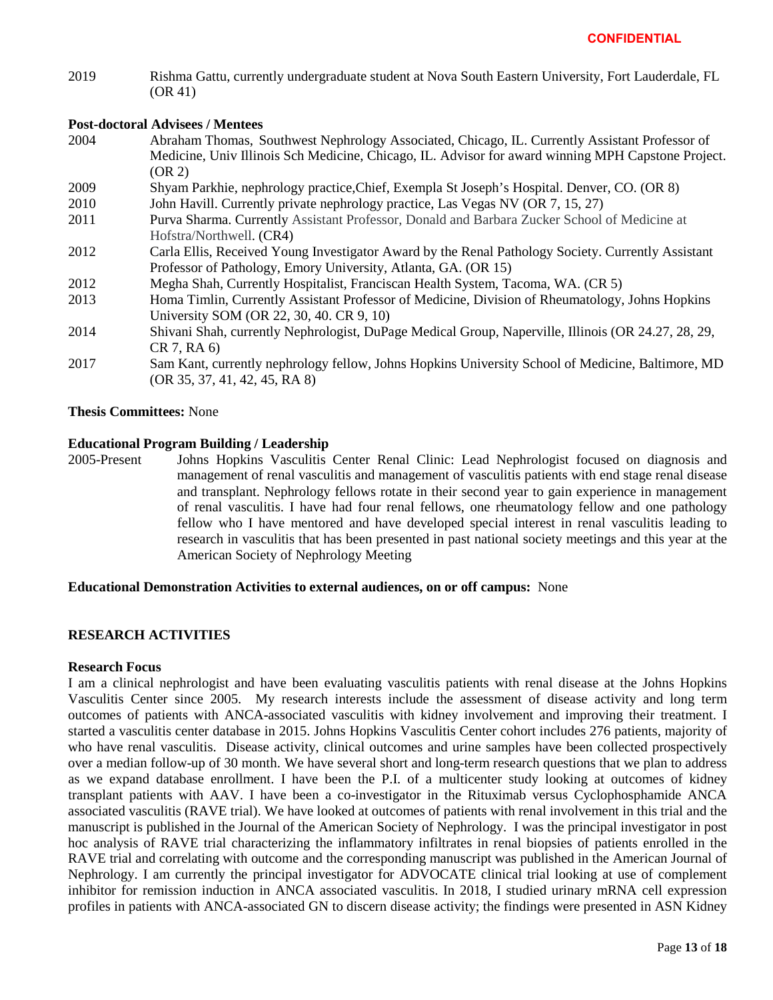2019 Rishma Gattu, currently undergraduate student at Nova South Eastern University, Fort Lauderdale, FL (OR 41)

## **Post-doctoral Advisees / Mentees**

2004 Abraham Thomas, Southwest Nephrology Associated, Chicago, IL. Currently Assistant Professor of Medicine, Univ Illinois Sch Medicine, Chicago, IL. Advisor for award winning MPH Capstone Project. (OR 2) 2009 Shyam Parkhie, nephrology practice,Chief, Exempla St Joseph's Hospital. Denver, CO. (OR 8) 2010 John Havill. Currently private nephrology practice, Las Vegas NV (OR 7, 15, 27) 2011 Purva Sharma. Currently Assistant Professor, Donald and Barbara Zucker School of Medicine at Hofstra/Northwell. (CR4) 2012 Carla Ellis, Received Young Investigator Award by the Renal Pathology Society. Currently Assistant Professor of Pathology, Emory University, Atlanta, GA. (OR 15) 2012 Megha Shah, Currently Hospitalist, Franciscan Health System, Tacoma, WA. (CR 5) 2013 Homa Timlin, Currently Assistant Professor of Medicine, Division of Rheumatology, Johns Hopkins University SOM (OR 22, 30, 40. CR 9, 10) 2014 Shivani Shah, currently Nephrologist, DuPage Medical Group, Naperville, Illinois (OR 24.27, 28, 29, CR 7, RA 6) 2017 Sam Kant, currently nephrology fellow, Johns Hopkins University School of Medicine, Baltimore, MD (OR 35, 37, 41, 42, 45, RA 8)

### **Thesis Committees:** None

## **Educational Program Building / Leadership**

2005-Present Johns Hopkins Vasculitis Center Renal Clinic: Lead Nephrologist focused on diagnosis and management of renal vasculitis and management of vasculitis patients with end stage renal disease and transplant. Nephrology fellows rotate in their second year to gain experience in management of renal vasculitis. I have had four renal fellows, one rheumatology fellow and one pathology fellow who I have mentored and have developed special interest in renal vasculitis leading to research in vasculitis that has been presented in past national society meetings and this year at the American Society of Nephrology Meeting

### **Educational Demonstration Activities to external audiences, on or off campus:** None

# **RESEARCH ACTIVITIES**

### **Research Focus**

I am a clinical nephrologist and have been evaluating vasculitis patients with renal disease at the Johns Hopkins Vasculitis Center since 2005. My research interests include the assessment of disease activity and long term outcomes of patients with ANCA-associated vasculitis with kidney involvement and improving their treatment. I started a vasculitis center database in 2015. Johns Hopkins Vasculitis Center cohort includes 276 patients, majority of who have renal vasculitis. Disease activity, clinical outcomes and urine samples have been collected prospectively over a median follow-up of 30 month. We have several short and long-term research questions that we plan to address as we expand database enrollment. I have been the P.I. of a multicenter study looking at outcomes of kidney transplant patients with AAV. I have been a co-investigator in the Rituximab versus Cyclophosphamide ANCA associated vasculitis (RAVE trial). We have looked at outcomes of patients with renal involvement in this trial and the manuscript is published in the Journal of the American Society of Nephrology. I was the principal investigator in post hoc analysis of RAVE trial characterizing the inflammatory infiltrates in renal biopsies of patients enrolled in the RAVE trial and correlating with outcome and the corresponding manuscript was published in the American Journal of Nephrology. I am currently the principal investigator for ADVOCATE clinical trial looking at use of complement inhibitor for remission induction in ANCA associated vasculitis. In 2018, I studied urinary mRNA cell expression profiles in patients with ANCA-associated GN to discern disease activity; the findings were presented in ASN Kidney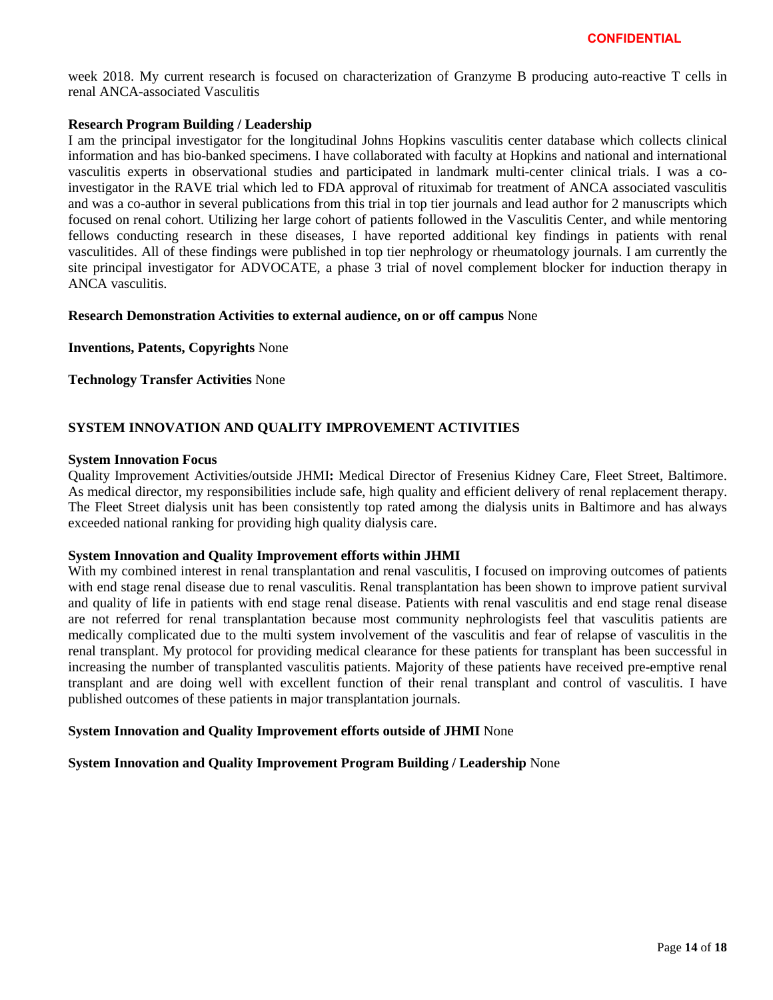week 2018. My current research is focused on characterization of Granzyme B producing auto-reactive T cells in renal ANCA-associated Vasculitis

### **Research Program Building / Leadership**

I am the principal investigator for the longitudinal Johns Hopkins vasculitis center database which collects clinical information and has bio-banked specimens. I have collaborated with faculty at Hopkins and national and international vasculitis experts in observational studies and participated in landmark multi-center clinical trials. I was a coinvestigator in the RAVE trial which led to FDA approval of rituximab for treatment of ANCA associated vasculitis and was a co-author in several publications from this trial in top tier journals and lead author for 2 manuscripts which focused on renal cohort. Utilizing her large cohort of patients followed in the Vasculitis Center, and while mentoring fellows conducting research in these diseases, I have reported additional key findings in patients with renal vasculitides. All of these findings were published in top tier nephrology or rheumatology journals. I am currently the site principal investigator for ADVOCATE, a phase 3 trial of novel complement blocker for induction therapy in ANCA vasculitis.

### **Research Demonstration Activities to external audience, on or off campus** None

**Inventions, Patents, Copyrights** None

**Technology Transfer Activities** None

### **SYSTEM INNOVATION AND QUALITY IMPROVEMENT ACTIVITIES**

#### **System Innovation Focus**

Quality Improvement Activities/outside JHMI**:** Medical Director of Fresenius Kidney Care, Fleet Street, Baltimore. As medical director, my responsibilities include safe, high quality and efficient delivery of renal replacement therapy. The Fleet Street dialysis unit has been consistently top rated among the dialysis units in Baltimore and has always exceeded national ranking for providing high quality dialysis care.

#### **System Innovation and Quality Improvement efforts within JHMI**

With my combined interest in renal transplantation and renal vasculitis, I focused on improving outcomes of patients with end stage renal disease due to renal vasculitis. Renal transplantation has been shown to improve patient survival and quality of life in patients with end stage renal disease. Patients with renal vasculitis and end stage renal disease are not referred for renal transplantation because most community nephrologists feel that vasculitis patients are medically complicated due to the multi system involvement of the vasculitis and fear of relapse of vasculitis in the renal transplant. My protocol for providing medical clearance for these patients for transplant has been successful in increasing the number of transplanted vasculitis patients. Majority of these patients have received pre-emptive renal transplant and are doing well with excellent function of their renal transplant and control of vasculitis. I have published outcomes of these patients in major transplantation journals.

### **System Innovation and Quality Improvement efforts outside of JHMI** None

### **System Innovation and Quality Improvement Program Building / Leadership** None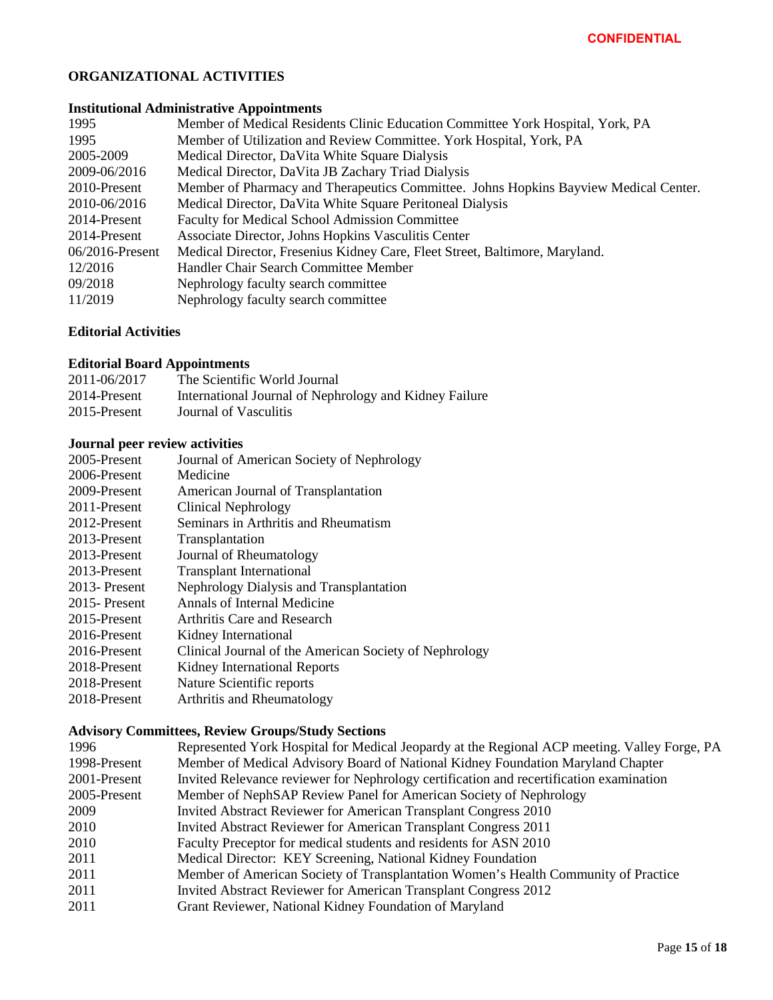# **ORGANIZATIONAL ACTIVITIES**

### **Institutional Administrative Appointments**

| 1995               | Member of Medical Residents Clinic Education Committee York Hospital, York, PA       |
|--------------------|--------------------------------------------------------------------------------------|
| 1995               | Member of Utilization and Review Committee. York Hospital, York, PA                  |
| 2005-2009          | Medical Director, DaVita White Square Dialysis                                       |
| 2009-06/2016       | Medical Director, DaVita JB Zachary Triad Dialysis                                   |
| 2010-Present       | Member of Pharmacy and Therapeutics Committee. Johns Hopkins Bayview Medical Center. |
| 2010-06/2016       | Medical Director, DaVita White Square Peritoneal Dialysis                            |
| 2014-Present       | <b>Faculty for Medical School Admission Committee</b>                                |
| 2014-Present       | Associate Director, Johns Hopkins Vasculitis Center                                  |
| $06/2016$ -Present | Medical Director, Fresenius Kidney Care, Fleet Street, Baltimore, Maryland.          |
| 12/2016            | Handler Chair Search Committee Member                                                |
| 09/2018            | Nephrology faculty search committee                                                  |
| 11/2019            | Nephrology faculty search committee                                                  |

#### **Editorial Activities**

# **Editorial Board Appointments**

| 2011-06/2017 | The Scientific World Journal                           |
|--------------|--------------------------------------------------------|
| 2014-Present | International Journal of Nephrology and Kidney Failure |
| 2015-Present | Journal of Vasculitis                                  |

# **Journal peer review activities**

| 2005-Present    | Journal of American Society of Nephrology              |
|-----------------|--------------------------------------------------------|
| 2006-Present    | Medicine                                               |
| 2009-Present    | American Journal of Transplantation                    |
| 2011-Present    | <b>Clinical Nephrology</b>                             |
| 2012-Present    | Seminars in Arthritis and Rheumatism                   |
| 2013-Present    | Transplantation                                        |
| 2013-Present    | Journal of Rheumatology                                |
| 2013-Present    | <b>Transplant International</b>                        |
| $2013$ -Present | Nephrology Dialysis and Transplantation                |
| $2015$ -Present | Annals of Internal Medicine                            |
| 2015-Present    | Arthritis Care and Research                            |
| 2016-Present    | Kidney International                                   |
| 2016-Present    | Clinical Journal of the American Society of Nephrology |
| 2018-Present    | Kidney International Reports                           |
| 2018-Present    | Nature Scientific reports                              |
| 2018-Present    | Arthritis and Rheumatology                             |

### **Advisory Committees, Review Groups/Study Sections**

| 1996         | Represented York Hospital for Medical Jeopardy at the Regional ACP meeting. Valley Forge, PA |
|--------------|----------------------------------------------------------------------------------------------|
| 1998-Present | Member of Medical Advisory Board of National Kidney Foundation Maryland Chapter              |
| 2001-Present | Invited Relevance reviewer for Nephrology certification and recertification examination      |
| 2005-Present | Member of NephSAP Review Panel for American Society of Nephrology                            |
| 2009         | Invited Abstract Reviewer for American Transplant Congress 2010                              |
| 2010         | Invited Abstract Reviewer for American Transplant Congress 2011                              |
| 2010         | Faculty Preceptor for medical students and residents for ASN 2010                            |
| 2011         | Medical Director: KEY Screening, National Kidney Foundation                                  |
| 2011         | Member of American Society of Transplantation Women's Health Community of Practice           |
| 2011         | Invited Abstract Reviewer for American Transplant Congress 2012                              |
| 2011         | Grant Reviewer, National Kidney Foundation of Maryland                                       |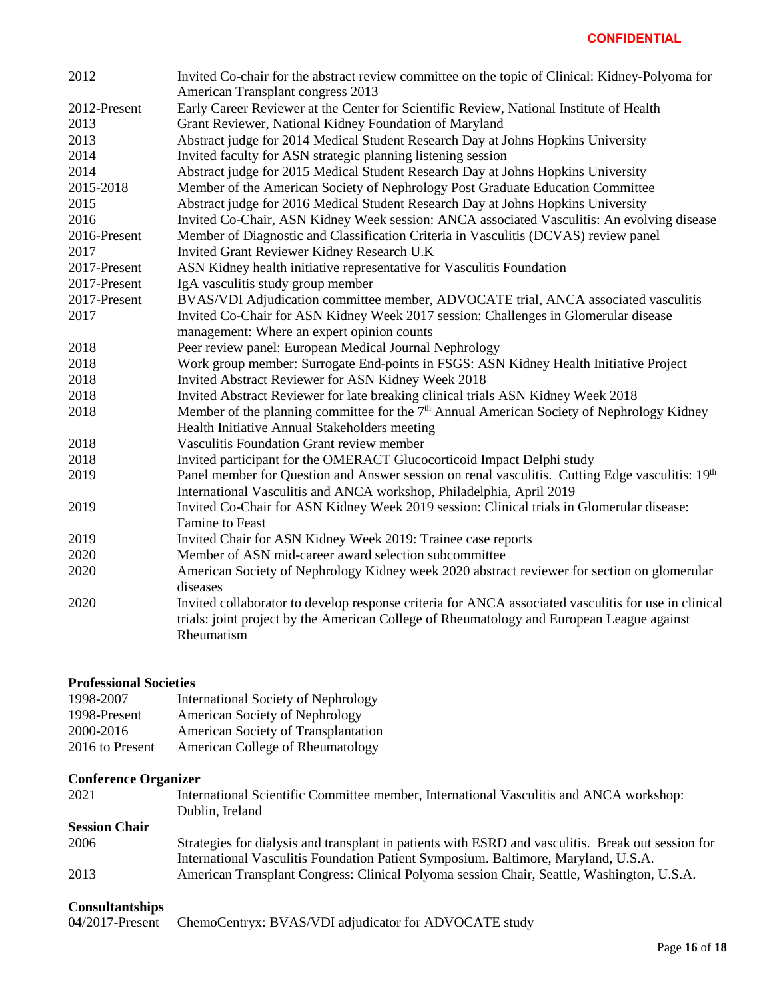| 2012         | Invited Co-chair for the abstract review committee on the topic of Clinical: Kidney-Polyoma for                              |
|--------------|------------------------------------------------------------------------------------------------------------------------------|
| 2012-Present | American Transplant congress 2013<br>Early Career Reviewer at the Center for Scientific Review, National Institute of Health |
| 2013         | Grant Reviewer, National Kidney Foundation of Maryland                                                                       |
| 2013         | Abstract judge for 2014 Medical Student Research Day at Johns Hopkins University                                             |
| 2014         | Invited faculty for ASN strategic planning listening session                                                                 |
| 2014         | Abstract judge for 2015 Medical Student Research Day at Johns Hopkins University                                             |
| 2015-2018    | Member of the American Society of Nephrology Post Graduate Education Committee                                               |
| 2015         | Abstract judge for 2016 Medical Student Research Day at Johns Hopkins University                                             |
| 2016         | Invited Co-Chair, ASN Kidney Week session: ANCA associated Vasculitis: An evolving disease                                   |
| 2016-Present | Member of Diagnostic and Classification Criteria in Vasculitis (DCVAS) review panel                                          |
| 2017         | Invited Grant Reviewer Kidney Research U.K                                                                                   |
| 2017-Present | ASN Kidney health initiative representative for Vasculitis Foundation                                                        |
| 2017-Present | IgA vasculitis study group member                                                                                            |
| 2017-Present | BVAS/VDI Adjudication committee member, ADVOCATE trial, ANCA associated vasculitis                                           |
| 2017         | Invited Co-Chair for ASN Kidney Week 2017 session: Challenges in Glomerular disease                                          |
|              | management: Where an expert opinion counts                                                                                   |
| 2018         | Peer review panel: European Medical Journal Nephrology                                                                       |
| 2018         | Work group member: Surrogate End-points in FSGS: ASN Kidney Health Initiative Project                                        |
| 2018         | Invited Abstract Reviewer for ASN Kidney Week 2018                                                                           |
| 2018         | Invited Abstract Reviewer for late breaking clinical trials ASN Kidney Week 2018                                             |
| 2018         | Member of the planning committee for the 7 <sup>th</sup> Annual American Society of Nephrology Kidney                        |
|              | Health Initiative Annual Stakeholders meeting                                                                                |
| 2018         | Vasculitis Foundation Grant review member                                                                                    |
| 2018         | Invited participant for the OMERACT Glucocorticoid Impact Delphi study                                                       |
| 2019         | Panel member for Question and Answer session on renal vasculitis. Cutting Edge vasculitis: 19th                              |
|              | International Vasculitis and ANCA workshop, Philadelphia, April 2019                                                         |
| 2019         | Invited Co-Chair for ASN Kidney Week 2019 session: Clinical trials in Glomerular disease:                                    |
|              | Famine to Feast                                                                                                              |
| 2019         | Invited Chair for ASN Kidney Week 2019: Trainee case reports                                                                 |
| 2020         | Member of ASN mid-career award selection subcommittee                                                                        |
| 2020         | American Society of Nephrology Kidney week 2020 abstract reviewer for section on glomerular                                  |
|              | diseases                                                                                                                     |
| 2020         | Invited collaborator to develop response criteria for ANCA associated vasculitis for use in clinical                         |
|              | trials: joint project by the American College of Rheumatology and European League against                                    |
|              | Rheumatism                                                                                                                   |

# **Professional Societies**

| 1998-2007       | <b>International Society of Nephrology</b> |
|-----------------|--------------------------------------------|
| 1998-Present    | American Society of Nephrology             |
| 2000-2016       | American Society of Transplantation        |
| 2016 to Present | American College of Rheumatology           |

# **Conference Organizer**

| 2021                 | International Scientific Committee member, International Vasculitis and ANCA workshop:             |
|----------------------|----------------------------------------------------------------------------------------------------|
|                      | Dublin, Ireland                                                                                    |
| <b>Session Chair</b> |                                                                                                    |
| 2006                 | Strategies for dialysis and transplant in patients with ESRD and vasculitis. Break out session for |
|                      | International Vasculitis Foundation Patient Symposium. Baltimore, Maryland, U.S.A.                 |
| 2013                 | American Transplant Congress: Clinical Polyoma session Chair, Seattle, Washington, U.S.A.          |
|                      |                                                                                                    |

# **Consultantships**

|  | 04/2017-Present ChemoCentryx: BVAS/VDI adjudicator for ADVOCATE study |
|--|-----------------------------------------------------------------------|
|--|-----------------------------------------------------------------------|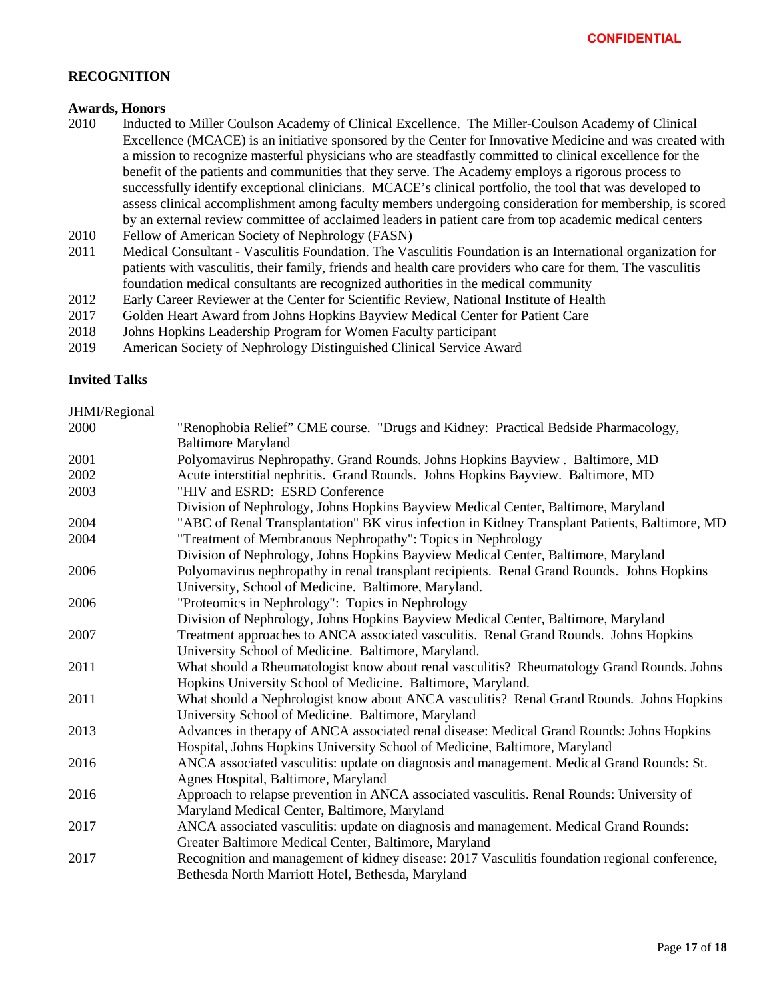### **RECOGNITION**

### **Awards, Honors**

- 2010 Inducted to Miller Coulson Academy of Clinical Excellence. The Miller-Coulson Academy of Clinical Excellence (MCACE) is an initiative sponsored by the Center for Innovative Medicine and was created with a mission to recognize masterful physicians who are steadfastly committed to clinical excellence for the benefit of the patients and communities that they serve. The Academy employs a rigorous process to successfully identify exceptional clinicians. MCACE's clinical portfolio, the tool that was developed to assess clinical accomplishment among faculty members undergoing consideration for membership, is scored by an external review committee of acclaimed leaders in patient care from top academic medical centers
- 2010 Fellow of American Society of Nephrology (FASN)
- 2011 Medical Consultant Vasculitis Foundation. The Vasculitis Foundation is an International organization for patients with vasculitis, their family, friends and health care providers who care for them. The vasculitis foundation medical consultants are recognized authorities in the medical community
- 2012 Early Career Reviewer at the Center for Scientific Review, National Institute of Health
- 2017 Golden Heart Award from Johns Hopkins Bayview Medical Center for Patient Care
- 2018 Johns Hopkins Leadership Program for Women Faculty participant
- 2019 American Society of Nephrology Distinguished Clinical Service Award

### **Invited Talks**

| JHMI/Regional |                                                                                                |
|---------------|------------------------------------------------------------------------------------------------|
| 2000          | "Renophobia Relief" CME course. "Drugs and Kidney: Practical Bedside Pharmacology,             |
|               | <b>Baltimore Maryland</b>                                                                      |
| 2001          | Polyomavirus Nephropathy. Grand Rounds. Johns Hopkins Bayview . Baltimore, MD                  |
| 2002          | Acute interstitial nephritis. Grand Rounds. Johns Hopkins Bayview. Baltimore, MD               |
| 2003          | "HIV and ESRD: ESRD Conference                                                                 |
|               | Division of Nephrology, Johns Hopkins Bayview Medical Center, Baltimore, Maryland              |
| 2004          | "ABC of Renal Transplantation" BK virus infection in Kidney Transplant Patients, Baltimore, MD |
| 2004          | "Treatment of Membranous Nephropathy": Topics in Nephrology                                    |
|               | Division of Nephrology, Johns Hopkins Bayview Medical Center, Baltimore, Maryland              |
| 2006          | Polyomavirus nephropathy in renal transplant recipients. Renal Grand Rounds. Johns Hopkins     |
|               | University, School of Medicine. Baltimore, Maryland.                                           |
| 2006          | "Proteomics in Nephrology": Topics in Nephrology                                               |
|               | Division of Nephrology, Johns Hopkins Bayview Medical Center, Baltimore, Maryland              |
| 2007          | Treatment approaches to ANCA associated vasculitis. Renal Grand Rounds. Johns Hopkins          |
|               | University School of Medicine. Baltimore, Maryland.                                            |
| 2011          | What should a Rheumatologist know about renal vasculitis? Rheumatology Grand Rounds. Johns     |
|               | Hopkins University School of Medicine. Baltimore, Maryland.                                    |
| 2011          | What should a Nephrologist know about ANCA vasculitis? Renal Grand Rounds. Johns Hopkins       |
|               | University School of Medicine. Baltimore, Maryland                                             |
| 2013          | Advances in therapy of ANCA associated renal disease: Medical Grand Rounds: Johns Hopkins      |
|               | Hospital, Johns Hopkins University School of Medicine, Baltimore, Maryland                     |
| 2016          | ANCA associated vasculitis: update on diagnosis and management. Medical Grand Rounds: St.      |
|               | Agnes Hospital, Baltimore, Maryland                                                            |
| 2016          | Approach to relapse prevention in ANCA associated vasculitis. Renal Rounds: University of      |
|               | Maryland Medical Center, Baltimore, Maryland                                                   |
| 2017          | ANCA associated vasculitis: update on diagnosis and management. Medical Grand Rounds:          |
|               | Greater Baltimore Medical Center, Baltimore, Maryland                                          |
| 2017          | Recognition and management of kidney disease: 2017 Vasculitis foundation regional conference,  |
|               | Bethesda North Marriott Hotel, Bethesda, Maryland                                              |